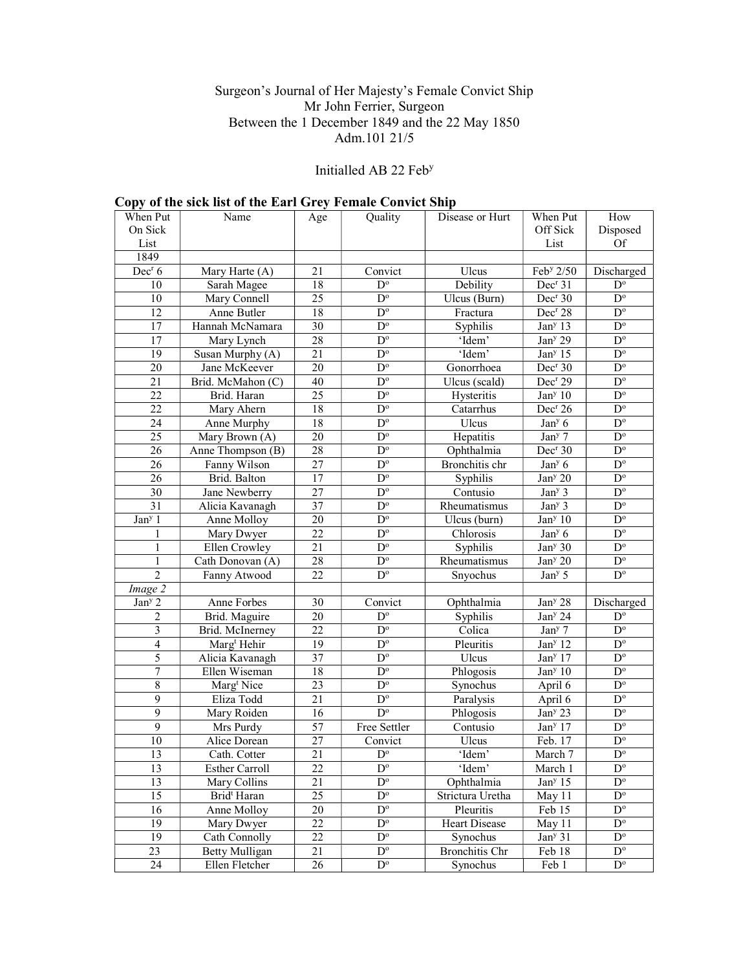### Surgeon's Journal of Her Majesty's Female Convict Ship Mr John Ferrier, Surgeon Between the 1 December 1849 and the 22 May 1850 Adm.101 21/5

## Initialled AB 22 Feb<sup>y</sup>

|                         | Copy of the sick list of the Earl Grey Peniale Convict Ship |                 |                         |                       |                       |                         |
|-------------------------|-------------------------------------------------------------|-----------------|-------------------------|-----------------------|-----------------------|-------------------------|
| When Put                | Name                                                        | Age             | Quality                 | Disease or Hurt       | When Put              | How                     |
| On Sick                 |                                                             |                 |                         |                       | Off Sick              | Disposed                |
| List                    |                                                             |                 |                         |                       | List                  | Of                      |
| 1849                    |                                                             |                 |                         |                       |                       |                         |
| Dec <sup>r</sup> 6      | Mary Harte (A)                                              | 21              | Convict                 | Ulcus                 | Feb <sup>y</sup> 2/50 | Discharged              |
| 10                      | Sarah Magee                                                 | 18              | $D^{\circ}$             | Debility              | Dec <sup>r</sup> 31   | $D^{\circ}$             |
| 10                      | Mary Connell                                                | 25              | $D^{\circ}$             | Ulcus (Burn)          | Dec <sup>r</sup> 30   | $D^{\circ}$             |
| 12                      | Anne Butler                                                 | 18              | $D^{\circ}$             | Fractura              | Dec <sup>r</sup> 28   | $D^{\circ}$             |
| 17                      | Hannah McNamara                                             | 30              | $\overline{D}^{\circ}$  | Syphilis              | Jan <sup>y</sup> 13   | $\overline{D^{\circ}}$  |
| 17                      | Mary Lynch                                                  | 28              | $\mathbf{D}^{\text{o}}$ | 'Idem'                | Jan <sup>y</sup> 29   | $D^{\circ}$             |
| 19                      | Susan Murphy (A)                                            | 21              | $\mathbf{D}^{\text{o}}$ | 'Idem'                | Jan <sup>y</sup> 15   | $\mathbf{D}^{\text{o}}$ |
| 20                      | Jane McKeever                                               | 20              | $D^{\circ}$             | Gonorrhoea            | Dec <sup>r</sup> 30   | $\overline{D^o}$        |
| 21                      | Brid. McMahon (C)                                           | 40              | $\mathbf{D}^{\text{o}}$ | Ulcus (scald)         | Dec <sup>r</sup> 29   | $\mathbf{D}^{\text{o}}$ |
| 22                      | Brid. Haran                                                 | 25              | $\mathbf{D}^{\text{o}}$ | Hysteritis            | Jan <sup>y</sup> 10   | $\mathbf{D}^{\text{o}}$ |
| 22                      | Mary Ahern                                                  | 18              | $D^{\circ}$             | Catarrhus             | Dec <sup>r</sup> 26   | $\mathbf{D}^{\text{o}}$ |
| 24                      | Anne Murphy                                                 | 18              | $D^{\circ}$             | Ulcus                 | Jan <sup>y</sup> 6    | $D^{\circ}$             |
| 25                      | Mary Brown (A)                                              | 20              | $D^{\circ}$             | Hepatitis             | Jan <sup>y</sup> 7    | $\mathbf{D}^{\text{o}}$ |
| 26                      | Anne Thompson (B)                                           | 28              | $\mathbf{D}^{\text{o}}$ | Ophthalmia            | Dec <sup>r</sup> 30   | $\mathbf{D}^{\text{o}}$ |
| 26                      | Fanny Wilson                                                | 27              | $\mathbf{D}^{\text{o}}$ | Bronchitis chr        | Jan <sup>y</sup> 6    | $D^{\circ}$             |
| 26                      | Brid. Balton                                                | 17              | $D^{\circ}$             | Syphilis              | Jan <sup>y</sup> 20   | $D^{\circ}$             |
| 30                      | Jane Newberry                                               | 27              | $\overline{D^{\circ}}$  | Contusio              | Jan <sup>y</sup> 3    | $\mathbf{D}^{\text{o}}$ |
| 31                      | Alicia Kavanagh                                             | 37              | $\overline{D^{\circ}}$  | Rheumatismus          | Jan <sup>y</sup> 3    | $\mathbf{D}^{\text{o}}$ |
| Jan <sup>y</sup> 1      | Anne Molloy                                                 | 20              | $D^{\circ}$             | Ulcus (burn)          | Jan <sup>y</sup> 10   | $\mathbf{D}^{\text{o}}$ |
| 1                       | Mary Dwyer                                                  | 22              | $D^{\circ}$             | Chlorosis             | Jan <sup>y</sup> 6    | $D^{\circ}$             |
| $\mathbf{1}$            | Ellen Crowley                                               | $\overline{21}$ | $D^{\circ}$             | Syphilis              | Jan <sup>y</sup> 30   | $\overline{D^{\circ}}$  |
| $\mathbf{1}$            | Cath Donovan (A)                                            | 28              | $\overline{D^{\circ}}$  | Rheumatismus          | Jan <sup>y</sup> 20   | $\overline{D^{\circ}}$  |
| $\overline{2}$          | Fanny Atwood                                                | 22              | $D^{\circ}$             | Snyochus              | Jan <sup>y</sup> 5    | $D^{\circ}$             |
| Image 2                 |                                                             |                 |                         |                       |                       |                         |
| Jan <sup>y</sup> 2      | Anne Forbes                                                 | 30              | Convict                 | Ophthalmia            | Jan <sup>y</sup> 28   | Discharged              |
| 2                       | Brid. Maguire                                               | 20              | $\mathbf{D}^{\text{o}}$ | Syphilis              | Jan <sup>y</sup> 24   | $D^{\circ}$             |
| $\overline{\mathbf{3}}$ | Brid. McInerney                                             | 22              | $D^{\circ}$             | Colica                | Jan <sup>y</sup> 7    | $\mathbf{D}^{\text{o}}$ |
| $\overline{4}$          | Marg <sup>t</sup> Hehir                                     | 19              | $D^{\circ}$             | Pleuritis             | Jan <sup>y</sup> 12   | $\overline{D^{\circ}}$  |
| 5                       | Alicia Kavanagh                                             | 37              | $D^{\circ}$             | Ulcus                 | Jan <sup>y</sup> 17   | $\mathbf{D}^{\text{o}}$ |
| 7                       | Ellen Wiseman                                               | 18              | $\overline{D^{\circ}}$  | Phlogosis             | Jan <sup>y</sup> 10   | $\overline{D^{\circ}}$  |
| 8                       | Marg <sup>t</sup> Nice                                      | 23              | $\mathbf{D}^{\text{o}}$ | Synochus              | April 6               | $D^{\circ}$             |
| 9                       | Eliza Todd                                                  | 21              | $\overline{D^{\circ}}$  | Paralysis             | April 6               | $\mathbf{D}^{\text{o}}$ |
| 9                       | Mary Roiden                                                 | 16              | $\overline{D^{\circ}}$  | Phlogosis             | Jan <sup>y</sup> 23   | $D^{\circ}$             |
| 9                       | Mrs Purdy                                                   | 57              | Free Settler            | Contusio              | Jan <sup>y</sup> 17   | $D^{\circ}$             |
| 10                      | Alice Dorean                                                | 27              | Convict                 | Ulcus                 | Feb. 17               | $\mathbf{D}^{\text{o}}$ |
| 13                      | Cath. Cotter                                                | 21              | $\overline{D^o}$        | 'Idem'                | March 7               | $\overline{D^o}$        |
| 13                      | <b>Esther Carroll</b>                                       | 22              | $D^{\circ}$             | 'Idem'                | March 1               | $D^{\circ}$             |
| 13                      | Mary Collins                                                | 21              | $D^{\circ}$             | Ophthalmia            | Jan <sup>y</sup> 15   | $\mathbf{D}^{\text{o}}$ |
| 15                      | Brid <sup>t</sup> Haran                                     | 25              | $D^{\circ}$             | Strictura Uretha      | May 11                | $D^{\circ}$             |
| 16                      | Anne Molloy                                                 | 20              | $D^{\circ}$             | Pleuritis             | Feb 15                | $D^{\circ}$             |
| 19                      | Mary Dwyer                                                  | 22              | $D^{\circ}$             | Heart Disease         | May 11                | $D^{\circ}$             |
| $\overline{19}$         | Cath Connolly                                               | 22              | $\overline{D^{\circ}}$  | Synochus              | Jan <sup>y</sup> 31   | $D^{\circ}$             |
| 23                      | Betty Mulligan                                              | 21              | $D^{\circ}$             | <b>Bronchitis Chr</b> | Feb 18                | $\mathbf{D}^{\text{o}}$ |
| 24                      | Ellen Fletcher                                              | 26              | $D^{\circ}$             | Synochus              | Feb 1                 | $D^{\circ}$             |

# Copy of the sick list of the Earl Grey Female Convict Ship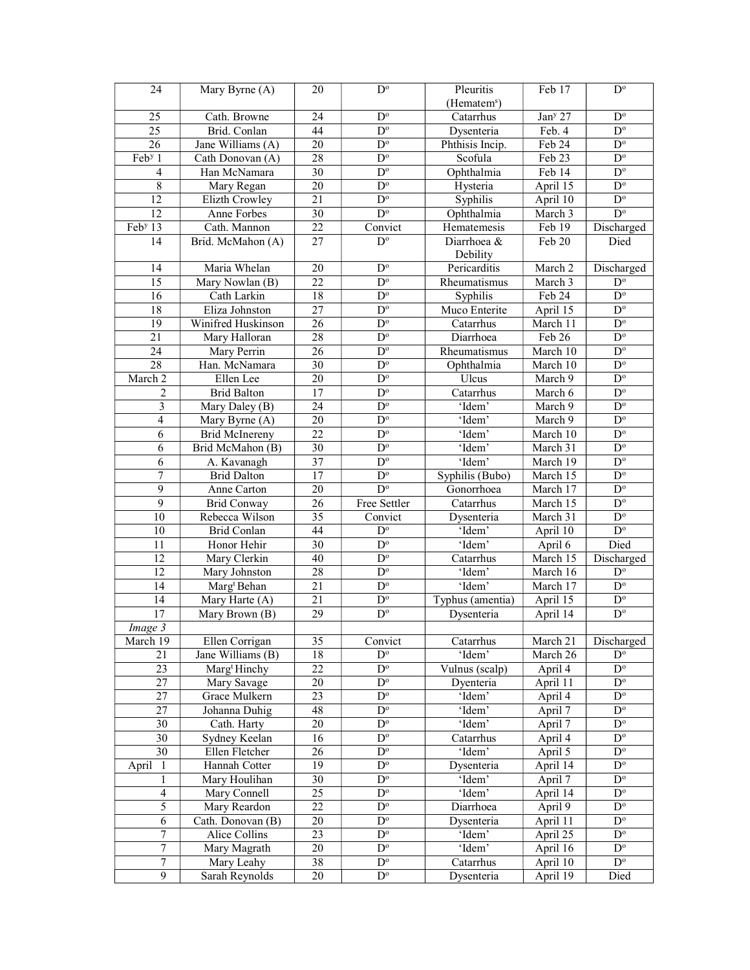| 24                  | Mary Byrne (A)           | 20              | $\overline{D}^{\circ}$  | Pleuritis               | Feb 17              | $D^{\circ}$                            |
|---------------------|--------------------------|-----------------|-------------------------|-------------------------|---------------------|----------------------------------------|
|                     |                          |                 |                         | (Hematem <sup>s</sup> ) |                     |                                        |
| 25                  | Cath. Browne             | 24              | $D^{\circ}$             | Catarrhus               | Jan <sup>y</sup> 27 | $\overline{D^{\circ}}$                 |
| $\overline{25}$     | Brid. Conlan             | 44              | $\overline{D^{\circ}}$  | Dysenteria              | Feb. 4              | $D^{\circ}$                            |
| 26                  | Jane Williams (A)        | $20\,$          | $\mathbf{D}^{\text{o}}$ | Phthisis Incip.         | Feb 24              | $\overline{D^{\circ}}$                 |
| Feb <sup>y</sup> 1  | Cath Donovan (A)         | 28              | $\overline{D^{\circ}}$  | Scofula                 | Feb 23              | $\overline{D^{\circ}}$                 |
| 4                   | Han McNamara             | 30              | $\mathbf{D}^{\text{o}}$ | Ophthalmia              | Feb 14              | $\mathbf{D}^{\text{o}}$                |
| $\,$ 8 $\,$         | Mary Regan               | 20              | $\mathbf{D}^{\text{o}}$ | Hysteria                | April 15            | $\mathbf{D}^{\text{o}}$                |
| 12                  | Elizth Crowley           | 21              | $\mathbf{D}^{\text{o}}$ | Syphilis                | April 10            | $\mathbf{D}^{\text{o}}$                |
| 12                  | Anne Forbes              | $\overline{30}$ | $D^{\circ}$             | Ophthalmia              | March 3             | $D^{\circ}$                            |
| Feb <sup>y</sup> 13 | Cath. Mannon             | $\overline{22}$ | Convict                 | Hematemesis             | Feb 19              | Discharged                             |
| $\overline{14}$     | Brid. McMahon (A)        | $\overline{27}$ | $D^{\circ}$             | Diarrhoea &             | Feb 20              | Died                                   |
|                     |                          |                 |                         | Debility                |                     |                                        |
| 14                  | Maria Whelan             | 20              | $\mathbf{D}^{\text{o}}$ | Pericarditis            | March 2             | Discharged                             |
| 15                  | Mary Nowlan (B)          | 22              | $\mathbf{D}^{\text{o}}$ | Rheumatismus            | March 3             | $\mathbf{D}^{\text{o}}$                |
| 16                  | Cath Larkin              | 18              | $\mathbf{D}^{\text{o}}$ | Syphilis                | Feb 24              | $\mathbf{D}^{\text{o}}$                |
| $18\,$              | Eliza Johnston           | $27\,$          | $\mathbf{D}^{\text{o}}$ | Muco Enterite           | April 15            | $\mathbf{D}^{\text{o}}$                |
| $\overline{19}$     | Winifred Huskinson       | 26              | $D^{\circ}$             | Catarrhus               | March 11            | $\overline{D^{\circ}}$                 |
| $\overline{21}$     | Mary Halloran            | 28              | $D^{\circ}$             | Diarrhoea               | Feb 26              | $D^{\circ}$                            |
| 24                  | Mary Perrin              | 26              | $\overline{D^o}$        | Rheumatismus            | March 10            | $\overline{D^{\circ}}$                 |
| 28                  | Han. McNamara            | 30              | $\overline{D^{\circ}}$  | Ophthalmia              | March 10            | $\overline{D^{\circ}}$                 |
| March 2             | Ellen Lee                | 20              | $\mathbf{D}^{\text{o}}$ | Ulcus                   | March 9             | $\overline{D^{\circ}}$                 |
| $\overline{2}$      | <b>Brid Balton</b>       | 17              | $\overline{D^{\circ}}$  | Catarrhus               | March 6             | $\mathbf{D}^{\text{o}}$                |
|                     | Mary Daley (B)           | 24              | $\mathbf{D}^{\text{o}}$ | 'Idem'                  | March 9             | $\mathbf{D}^{\text{o}}$                |
| 3<br>$\overline{4}$ |                          |                 | $\mathbf{D}^{\text{o}}$ |                         |                     |                                        |
| 6                   | Mary Byrne (A)           | $20\,$<br>22    | $\mathbf{D}^{\text{o}}$ | 'Idem'                  | March 9             | $\mathbf{D}^{\text{o}}$<br>$D^{\circ}$ |
|                     | <b>Brid McInereny</b>    | 30              | $\overline{D^{\circ}}$  | 'Idem'                  | March 10            | $\overline{D^{\circ}}$                 |
| 6                   | Brid McMahon (B)         |                 | $\mathbf{D}^{\text{o}}$ | 'Idem'                  | March 31            | $\overline{D^{\circ}}$                 |
| 6                   | A. Kavanagh              | 37<br>17        | $D^{\circ}$             | 'Idem'                  | March 19            | $\mathbf{D}^{\text{o}}$                |
| 7                   | <b>Brid Dalton</b>       |                 |                         | Syphilis (Bubo)         | March 15            |                                        |
|                     |                          |                 |                         |                         |                     |                                        |
| 9                   | Anne Carton              | $20\,$          | $D^{\circ}$             | Gonorrhoea              | March 17            | $\mathbf{D}^{\text{o}}$                |
| 9                   | <b>Brid Conway</b>       | 26              | Free Settler            | Catarrhus               | March 15            | $\mathbf{D}^{\text{o}}$                |
| 10                  | Rebecca Wilson           | 35              | Convict                 | Dysenteria              | March 31            | $\mathbf{D}^{\text{o}}$                |
| 10                  | Brid Conlan              | 44              | $\mathbf{D}^{\text{o}}$ | 'Idem'                  | April 10            | $\mathbf{D}^{\text{o}}$                |
| 11                  | Honor Hehir              | 30              | $\overline{D^{\circ}}$  | 'Idem'                  | April 6             | Died                                   |
| 12                  | Mary Clerkin             | 40              | $D^{\circ}$             | Catarrhus               | March 15            | Discharged                             |
| $\overline{12}$     | Mary Johnston            | 28              | $\overline{D^{\circ}}$  | 'Idem'                  | March 16            | $\mathbf{D}^{\text{o}}$                |
| 14                  | Marg <sup>t</sup> Behan  | 21              | $\mathbf{D}^{\text{o}}$ | 'Idem'                  | March 17            | $\overline{D^o}$                       |
| 14                  | Mary Harte (A)           | 21              | $\mathbf{D}^{\text{o}}$ | Typhus (amentia)        | April 15            | $\mathbf{D}^{\text{o}}$                |
| 17                  | Mary Brown (B)           | 29              | $D^{\circ}$             | Dysenteria              | April 14            | $\mathbf{D}^{\text{o}}$                |
| Image 3             |                          |                 |                         |                         |                     |                                        |
| March 19            | Ellen Corrigan           | 35              | Convict                 | Catarrhus               | March 21            | Discharged                             |
| 21                  | Jane Williams (B)        | 18              | $D^{\circ}$             | 'Idem'                  | March 26            | $D^{\circ}$                            |
| 23                  | Marg <sup>t</sup> Hinchy | 22              | $D^{\circ}$             | Vulnus (scalp)          | April 4             | $D^{\circ}$                            |
| 27                  | Mary Savage              | 20              | $\mathbf{D}^{\text{o}}$ | Dyenteria               | April 11            | $D^{\circ}$                            |
| 27                  | Grace Mulkern            | 23              | $\mathbf{D}^{\text{o}}$ | 'Idem'                  | April 4             | $\mathbf{D}^{\text{o}}$                |
| 27                  | Johanna Duhig            | 48              | $\mathbf{D}^{\text{o}}$ | 'Idem'                  | April 7             | $D^{\circ}$                            |
| 30                  | Cath. Harty              | 20              | $\mathbf{D}^{\text{o}}$ | 'Idem'                  | April 7             | $D^{\circ}$                            |
| 30                  | Sydney Keelan            | 16              | $D^{\circ}$             | Catarrhus               | April 4             | $\mathbf{D}^{\text{o}}$                |
| 30                  | Ellen Fletcher           | 26              | $D^{\circ}$             | 'Idem'                  | April 5             | $\mathbf{D}^{\text{o}}$                |
| April<br>-1         | Hannah Cotter            | 19              | $D^{\rm o}$             | Dysenteria              | April 14            | $\mathbf{D}^{\text{o}}$                |
| 1                   | Mary Houlihan            | 30              | $D^{\circ}$             | 'Idem'                  | April 7             | $D^{\circ}$                            |
| $\overline{4}$      | Mary Connell             | 25              | $D^{\circ}$             | 'Idem'                  | April 14            | $D^{\circ}$                            |
| 5                   | Mary Reardon             | 22              | $D^{\circ}$             | Diarrhoea               | April 9             | $\mathbf{D}^{\text{o}}$                |
| 6                   | Cath. Donovan (B)        | 20              | $\mathbf{D}^{\text{o}}$ | Dysenteria              | April 11            | $\mathbf{D}^{\text{o}}$                |
| 7                   | Alice Collins            | 23              | $D^{\circ}$             | 'Idem'                  | April 25            | $D^{\circ}$                            |
| $\tau$              | Mary Magrath             | 20              | $\mathbf{D}^{\text{o}}$ | 'Idem'                  | April 16            | $D^{\circ}$                            |
| 7                   | Mary Leahy               | 38              | $D^{\circ}$             | Catarrhus               | April 10            | $D^{\circ}$                            |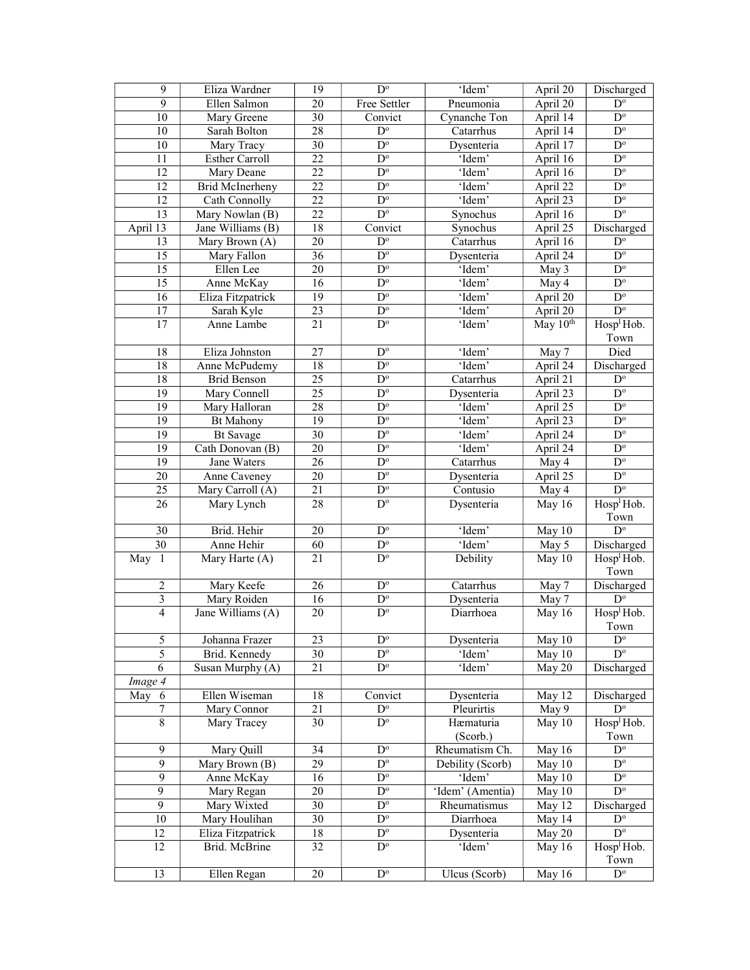| 9               | Eliza Wardner          | 19              | $\mathbf{D}^{\text{o}}$                           | 'Idem'           | April 20           | Discharged                     |
|-----------------|------------------------|-----------------|---------------------------------------------------|------------------|--------------------|--------------------------------|
| $\overline{9}$  | Ellen Salmon           | 20              | Free Settler                                      | Pneumonia        | April 20           | $D^{\circ}$                    |
| 10              | Mary Greene            | 30              | $\overline{\text{Conv} }$                         | Cynanche Ton     | April 14           | $\overline{D^{\circ}}$         |
| 10              | Sarah Bolton           | 28              | $\overline{D^{\circ}}$                            | Catarrhus        | April $14$         | $\overline{D^{\circ}}$         |
| 10              | Mary Tracy             | 30              | $\mathbf{D}^{\text{o}}$                           | Dysenteria       | April 17           | $\mathbf{D}^{\text{o}}$        |
| $\overline{11}$ | <b>Esther Carroll</b>  | 22              | $D^{\circ}$                                       | 'Idem'           | April 16           | $\mathbf{D}^{\text{o}}$        |
| $\overline{12}$ | Mary Deane             | 22              | $\mathbf{D}^{\text{o}}$                           | 'Idem'           | April 16           | $\mathbf{D}^{\text{o}}$        |
| $\overline{12}$ | <b>Brid McInerheny</b> | 22              | $D^{\circ}$                                       | 'Idem'           | April 22           | $D^{\circ}$                    |
| $\overline{12}$ | Cath Connolly          | 22              | $\mathbf{D}^{\text{o}}$                           | 'Idem'           | April 23           | $D^{\circ}$                    |
| 13              | Mary Nowlan (B)        | 22              | $\overline{D^{\circ}}$                            | Synochus         | April 16           | $\overline{D^{\circ}}$         |
| April 13        | Jane Williams (B)      | 18              | Convict                                           | Synochus         | April 25           | Discharged                     |
| 13              | Mary Brown (A)         | $\overline{20}$ | $D^{\circ}$                                       | Catarrhus        | April 16           | $\overline{D^{\circ}}$         |
| 15              | Mary Fallon            | $\overline{36}$ | $\overline{D^{\circ}}$                            | Dysenteria       | April 24           | $\mathbf{D}^{\text{o}}$        |
| 15              | Ellen Lee              | 20              | $D^{\circ}$                                       | 'Idem'           | May 3              | $\mathbf{D}^{\text{o}}$        |
| 15              | Anne McKay             | 16              | $\mathbf{D}^{\text{o}}$                           | 'Idem'           | May 4              | $D^{\circ}$                    |
| $\overline{16}$ | Eliza Fitzpatrick      | 19              | $\overline{D^{\circ}}$                            | 'Idem'           | April 20           | $D^{\circ}$                    |
| 17              | Sarah Kyle             | 23              | $\overline{D^{\circ}}$                            | 'Idem'           | April 20           | $\overline{D^o}$               |
| $\overline{17}$ | Anne Lambe             | $\overline{21}$ | $\overline{D^{\circ}}$                            | 'Idem'           | May 10th           | Hosp <sup>1</sup> Hob.         |
|                 |                        |                 |                                                   |                  |                    | Town                           |
| 18              | Eliza Johnston         | 27              | $\overline{D^{\circ}}$                            | 'Idem'           | May 7              | Died                           |
| 18              |                        | 18              | $\mathbf{D}^{\text{o}}$                           | 'Idem'           | April 24           | Discharged                     |
|                 | Anne McPudemy          |                 |                                                   |                  |                    |                                |
| 18              | <b>Brid Benson</b>     | 25              | $\mathbf{D}^{\text{o}}$<br>$\overline{D^{\circ}}$ | Catarrhus        | April 21           | $\mathbf{D}^{\text{o}}$        |
| 19              | Mary Connell           | 25              |                                                   | Dysenteria       | April 23           | $\mathbf{D}^{\text{o}}$        |
| 19              | Mary Halloran          | $\overline{28}$ | $\overline{D^{\circ}}$                            | 'Idem'           | April 25           | $\overline{D^{\circ}}$         |
| 19              | <b>Bt Mahony</b>       | 19              | $\overline{D^{\circ}}$                            | 'Idem'           | April 23           | $\mathbf{D}^{\text{o}}$        |
| $\overline{19}$ | <b>Bt</b> Savage       | $\overline{30}$ | $\overline{D^{\circ}}$                            | 'Idem'           | April 24           | $\overline{D^{\circ}}$         |
| 19              | Cath Donovan (B)       | 20              | $D^{\circ}$                                       | 'Idem'           | April 24           | $\overline{D^{\circ}}$         |
| $\overline{19}$ | Jane Waters            | $\overline{26}$ | $\overline{D^{\circ}}$                            | Catarrhus        | May $\overline{4}$ | $\overline{D^{\circ}}$         |
| 20              | Anne Caveney           | $\overline{20}$ | $\overline{D^{\circ}}$                            | Dysenteria       | April 25           | $\overline{D^{\circ}}$         |
| 25              | Mary Carroll (A)       | 21              | $\mathbf{D}^{\text{o}}$                           | Contusio         | May 4              | $\overline{D^{\circ}}$         |
| 26              | Mary Lynch             | 28              | $\overline{D^{\circ}}$                            | Dysenteria       | May 16             | Hosp <sup>1</sup> Hob.<br>Town |
| 30              | Brid. Hehir            | 20              | $D^{\circ}$                                       | 'Idem'           | May 10             | $D^{\circ}$                    |
| $\overline{30}$ | Anne Hehir             | 60              | $D^{\circ}$                                       | 'Idem'           | May $\overline{5}$ | Discharged                     |
| May 1           | Mary Harte (A)         | 21              | $\overline{D^o}$                                  | Debility         | May 10             | Hosp <sup>1</sup> Hob.         |
|                 |                        |                 |                                                   |                  |                    | Town                           |
| $\mathfrak{2}$  | Mary Keefe             | 26              | $\mathbf{D}^{\text{o}}$                           | Catarrhus        | May 7              | Discharged                     |
| $\sqrt{3}$      | Mary Roiden            | 16              | $\mathbf{D}^{\text{o}}$                           | Dysenteria       | May 7              | $D^{\circ}$                    |
| $\overline{4}$  | Jane Williams (A)      | 20              | $\mathbf{D}^{\text{o}}$                           | Diarrhoea        | May 16             | Hosp <sup>1</sup> Hob.         |
|                 |                        |                 |                                                   |                  |                    | Town                           |
| $\sqrt{5}$      | Johanna Frazer         | 23              | $D^{\circ}$                                       | Dysenteria       | May 10             | $\mathbf{D}^{\text{o}}$        |
| 5               | Brid. Kennedy          | 30              | $D^{\circ}$                                       | 'Idem'           | May 10             | $D^{\circ}$                    |
| 6               | Susan Murphy (A)       | 21              | $D^{\circ}$                                       | 'Idem'           | May 20             | Discharged                     |
| Image 4         |                        |                 |                                                   |                  |                    |                                |
| May 6           | Ellen Wiseman          | 18              | Convict                                           | Dysenteria       | May 12             | Discharged                     |
| 7               | Mary Connor            | 21              | $D^{\circ}$                                       | Pleurirtis       | May 9              | $D^{\circ}$                    |
| $\overline{8}$  | Mary Tracey            | 30              | $D^{\circ}$                                       | Hæmaturia        | May 10             | Hosp <sup>1</sup> Hob.         |
|                 |                        |                 |                                                   | (Scorb.)         |                    | Town                           |
| 9               | Mary Quill             | 34              | $D^{\circ}$                                       | Rheumatism Ch.   | May 16             | $\overline{D^{\circ}}$         |
| 9               | Mary Brown (B)         | 29              | $D^{\circ}$                                       | Debility (Scorb) | May 10             | $D^{\circ}$                    |
| 9               | Anne McKay             | 16              | $D^{\circ}$                                       | 'Idem'           | May 10             | $D^{\circ}$                    |
| 9               | Mary Regan             | 20              | $D^{\circ}$                                       | 'Idem' (Amentia) | May 10             | $D^{\circ}$                    |
| 9               | Mary Wixted            | 30              | $D^{\circ}$                                       | Rheumatismus     | May 12             | Discharged                     |
| 10              | Mary Houlihan          | 30              | $D^{\circ}$                                       | Diarrhoea        | May 14             | $D^{\circ}$                    |
| 12              | Eliza Fitzpatrick      | 18              | $D^{\circ}$                                       | Dysenteria       | May 20             | $D^{\circ}$                    |
| 12              | Brid. McBrine          | 32              | $D^{\circ}$                                       | 'Idem'           | May 16             | Hosp <sup>1</sup> Hob.         |
|                 |                        |                 |                                                   |                  |                    | Town                           |
| 13              | Ellen Regan            | 20              | $\mathbf{D}^{\text{o}}$                           | Ulcus (Scorb)    | May 16             | $D^{\circ}$                    |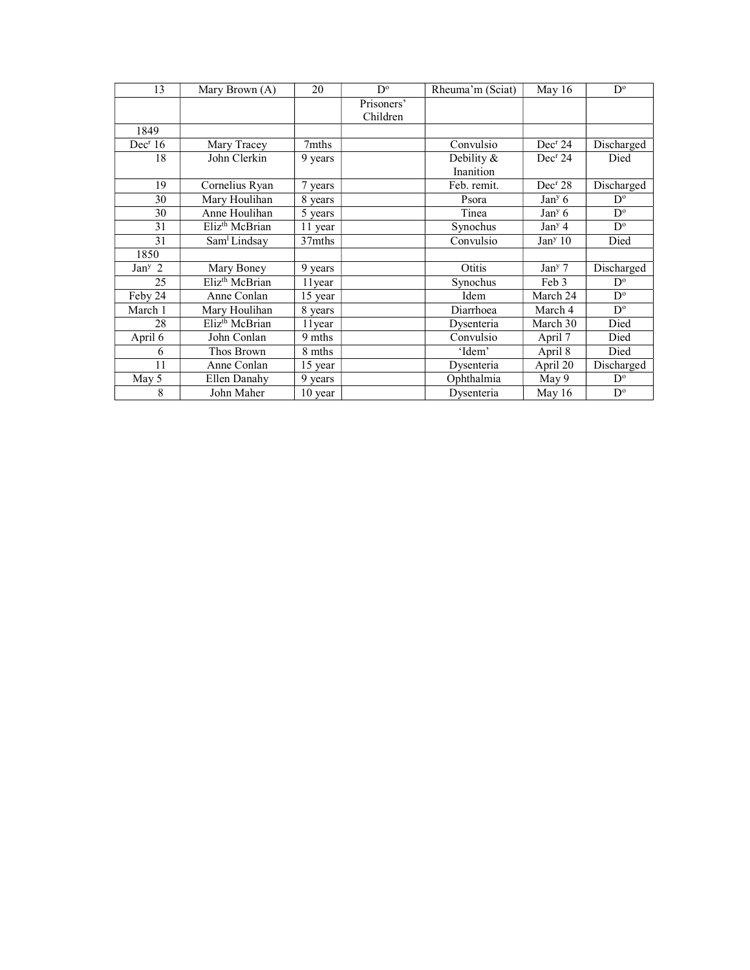| 13                  | Mary Brown (A)             | 20      | $D^{\circ}$ | Rheuma'm (Sciat) | May 16              | $D^{\circ}$             |
|---------------------|----------------------------|---------|-------------|------------------|---------------------|-------------------------|
|                     |                            |         | Prisoners'  |                  |                     |                         |
|                     |                            |         | Children    |                  |                     |                         |
| 1849                |                            |         |             |                  |                     |                         |
| Dec <sup>r</sup> 16 | Mary Tracey                | 7mths   |             | Convulsio        | Dec <sup>r</sup> 24 | Discharged              |
| 18                  | John Clerkin               | 9 years |             | Debility &       | Dec <sup>r</sup> 24 | Died                    |
|                     |                            |         |             | Inanition        |                     |                         |
| 19                  | Cornelius Ryan             | 7 years |             | Feb. remit.      | Dec <sup>r</sup> 28 | Discharged              |
| 30                  | Mary Houlihan              | 8 years |             | Psora            | Jan <sup>y</sup> 6  | $D^{\circ}$             |
| 30                  | Anne Houlihan              | 5 years |             | Tinea            | Jan <sup>y</sup> 6  | $D^{\circ}$             |
| 31                  | Eliz <sup>th</sup> McBrian | 11 year |             | Synochus         | Jan <sup>y</sup> 4  | $D^{\circ}$             |
| 31                  | Sam <sup>1</sup> Lindsay   | 37mths  |             | Convulsio        | Jan <sup>y</sup> 10 | Died                    |
| 1850                |                            |         |             |                  |                     |                         |
| Jan <sup>y</sup> 2  | Mary Boney                 | 9 years |             | Otitis           | $Jany$ 7            | Discharged              |
| 25                  | Eliz <sup>th</sup> McBrian | 11 year |             | Synochus         | Feb 3               | $D^{\circ}$             |
| Feby 24             | Anne Conlan                | 15 year |             | Idem             | March 24            | $D^{\circ}$             |
| March 1             | Mary Houlihan              | 8 years |             | Diarrhoea        | March 4             | $D^{\circ}$             |
| 28                  | Eliz <sup>th</sup> McBrian | 11 year |             | Dysenteria       | March 30            | Died                    |
| April 6             | John Conlan                | 9 mths  |             | Convulsio        | April 7             | Died                    |
| 6                   | Thos Brown                 | 8 mths  |             | 'Idem'           | April 8             | Died                    |
| 11                  | Anne Conlan                | 15 year |             | Dysenteria       | April 20            | Discharged              |
| May 5               | Ellen Danahy               | 9 years |             | Ophthalmia       | May 9               | $D^{\circ}$             |
| 8                   | John Maher                 | 10 year |             | Dysenteria       | May 16              | $\mathbf{D}^{\text{o}}$ |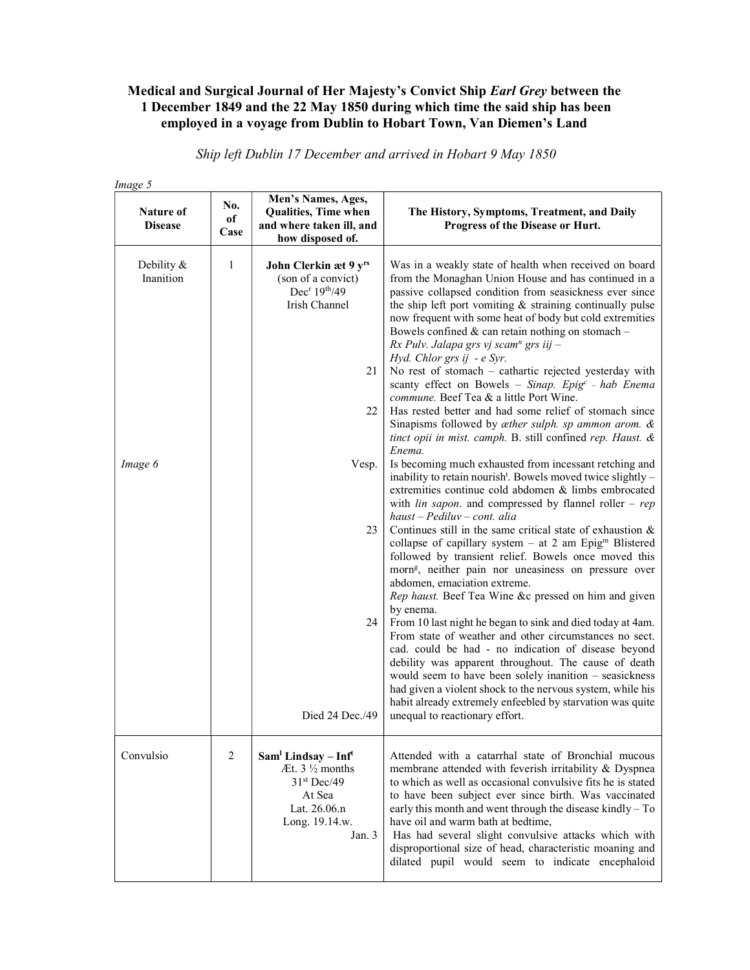## Medical and Surgical Journal of Her Majesty's Convict Ship Earl Grey between the 1 December 1849 and the 22 May 1850 during which time the said ship has been employed in a voyage from Dublin to Hobart Town, Van Diemen's Land

| Image 5                            |                   |                                                                                                                                                   |                                                                                                                                                                                                                                                                                                                                                                                                                                                                                                                                                                                                                                                                                                                                                                                                                                                                              |
|------------------------------------|-------------------|---------------------------------------------------------------------------------------------------------------------------------------------------|------------------------------------------------------------------------------------------------------------------------------------------------------------------------------------------------------------------------------------------------------------------------------------------------------------------------------------------------------------------------------------------------------------------------------------------------------------------------------------------------------------------------------------------------------------------------------------------------------------------------------------------------------------------------------------------------------------------------------------------------------------------------------------------------------------------------------------------------------------------------------|
| <b>Nature of</b><br><b>Disease</b> | No.<br>of<br>Case | Men's Names, Ages,<br>Qualities, Time when<br>and where taken ill, and<br>how disposed of.                                                        | The History, Symptoms, Treatment, and Daily<br>Progress of the Disease or Hurt.                                                                                                                                                                                                                                                                                                                                                                                                                                                                                                                                                                                                                                                                                                                                                                                              |
| Debility &<br>Inanition<br>Image 6 | 1                 | John Clerkin æt 9 yrs<br>(son of a convict)<br>Dec <sup>r</sup> 19 <sup>th</sup> /49<br>Irish Channel<br>21<br>22<br>Vesp.                        | Was in a weakly state of health when received on board<br>from the Monaghan Union House and has continued in a<br>passive collapsed condition from seasickness ever since<br>the ship left port vomiting $\&$ straining continually pulse<br>now frequent with some heat of body but cold extremities<br>Bowels confined $&$ can retain nothing on stomach -<br>$Rx$ Pulv. Jalapa grs vj scam <sup>n</sup> grs iij -<br>Hyd. Chlor grs ij - e Syr.<br>No rest of stomach - cathartic rejected yesterday with<br>scanty effect on Bowels - Sinap. Epig <sup>c</sup> - hab Enema<br>commune. Beef Tea & a little Port Wine.<br>Has rested better and had some relief of stomach since<br>Sinapisms followed by æther sulph. sp ammon arom. &<br>tinct opii in mist. camph. B. still confined rep. Haust. &<br>Enema.<br>Is becoming much exhausted from incessant retching and |
|                                    |                   | 23<br>24                                                                                                                                          | inability to retain nourish <sup>t</sup> . Bowels moved twice slightly -<br>extremities continue cold abdomen & limbs embrocated<br>with <i>lin sapon</i> . and compressed by flannel roller – $rep$<br>$h$ aust – Pediluv – cont. alia<br>Continues still in the same critical state of exhaustion $\&$<br>collapse of capillary system $-$ at 2 am Epig <sup>m</sup> Blistered<br>followed by transient relief. Bowels once moved this<br>morn <sup>g</sup> , neither pain nor uneasiness on pressure over<br>abdomen, emaciation extreme.<br>Rep haust. Beef Tea Wine &c pressed on him and given<br>by enema.<br>From 10 last night he began to sink and died today at 4am.<br>From state of weather and other circumstances no sect.<br>cad. could be had - no indication of disease beyond<br>debility was apparent throughout. The cause of death                     |
|                                    |                   | Died $24$ Dec./49                                                                                                                                 | would seem to have been solely inanition - seasickness<br>had given a violent shock to the nervous system, while his<br>habit already extremely enfeebled by starvation was quite<br>unequal to reactionary effort.                                                                                                                                                                                                                                                                                                                                                                                                                                                                                                                                                                                                                                                          |
| Convulsio                          | $\overline{2}$    | Sam <sup>1</sup> Lindsay - Inf <sup>t</sup><br>$At. 3\frac{1}{2}$ months<br>$31st$ Dec/49<br>At Sea<br>Lat. 26.06.n<br>Long. 19.14.w.<br>Jan. $3$ | Attended with a catarrhal state of Bronchial mucous<br>membrane attended with feverish irritability & Dyspnea<br>to which as well as occasional convulsive fits he is stated<br>to have been subject ever since birth. Was vaccinated<br>early this month and went through the disease kindly - To<br>have oil and warm bath at bedtime,<br>Has had several slight convulsive attacks which with<br>disproportional size of head, characteristic moaning and<br>dilated pupil would seem to indicate encephaloid                                                                                                                                                                                                                                                                                                                                                             |

Ship left Dublin 17 December and arrived in Hobart 9 May 1850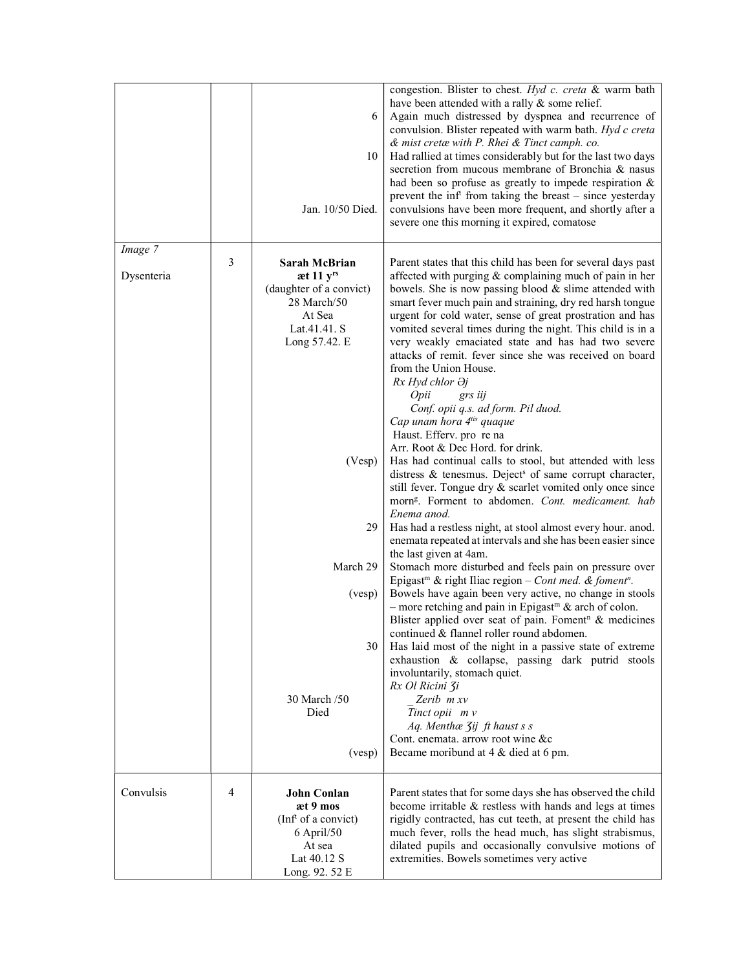|                       |   | 6<br>10<br>Jan. 10/50 Died.                                                                                                                                        | congestion. Blister to chest. Hyd c. creta & warm bath<br>have been attended with a rally & some relief.<br>Again much distressed by dyspnea and recurrence of<br>convulsion. Blister repeated with warm bath. Hyd c creta<br>& mist cretæ with P. Rhei & Tinct camph. co.<br>Had rallied at times considerably but for the last two days<br>secretion from mucous membrane of Bronchia & nasus<br>had been so profuse as greatly to impede respiration $\&$<br>prevent the inf <sup>t</sup> from taking the breast – since yesterday<br>convulsions have been more frequent, and shortly after a<br>severe one this morning it expired, comatose                                                                                                                                                                                                                                                                                                                                                                                                                                                                                                                                                                                                                                                                                                                                                                                                                                                                                                                                                                                                                                              |
|-----------------------|---|--------------------------------------------------------------------------------------------------------------------------------------------------------------------|------------------------------------------------------------------------------------------------------------------------------------------------------------------------------------------------------------------------------------------------------------------------------------------------------------------------------------------------------------------------------------------------------------------------------------------------------------------------------------------------------------------------------------------------------------------------------------------------------------------------------------------------------------------------------------------------------------------------------------------------------------------------------------------------------------------------------------------------------------------------------------------------------------------------------------------------------------------------------------------------------------------------------------------------------------------------------------------------------------------------------------------------------------------------------------------------------------------------------------------------------------------------------------------------------------------------------------------------------------------------------------------------------------------------------------------------------------------------------------------------------------------------------------------------------------------------------------------------------------------------------------------------------------------------------------------------|
| Image 7<br>Dysenteria | 3 | <b>Sarah McBrian</b><br>æt 11 yrs<br>(daughter of a convict)<br>28 March/50<br>At Sea<br>Lat.41.41. S<br>Long 57.42. E<br>(Vesp)<br>29<br>March 29<br>(vesp)<br>30 | Parent states that this child has been for several days past<br>affected with purging & complaining much of pain in her<br>bowels. She is now passing blood & slime attended with<br>smart fever much pain and straining, dry red harsh tongue<br>urgent for cold water, sense of great prostration and has<br>vomited several times during the night. This child is in a<br>very weakly emaciated state and has had two severe<br>attacks of remit. fever since she was received on board<br>from the Union House.<br>Rx Hyd chlor $\partial j$<br>Opii<br>grs iij<br>Conf. opii q.s. ad form. Pil duod.<br>Cap unam hora 4tis quaque<br>Haust. Efferv. pro re na<br>Arr. Root & Dec Hord. for drink.<br>Has had continual calls to stool, but attended with less<br>distress & tenesmus. Deject <sup>s</sup> of same corrupt character,<br>still fever. Tongue dry & scarlet vomited only once since<br>morn <sup>g</sup> . Forment to abdomen. Cont. medicament. hab<br>Enema anod.<br>Has had a restless night, at stool almost every hour. anod.<br>enemata repeated at intervals and she has been easier since<br>the last given at 4am.<br>Stomach more disturbed and feels pain on pressure over<br>Epigast <sup>m</sup> & right Iliac region - Cont med. & foment <sup>n</sup> .<br>Bowels have again been very active, no change in stools<br>- more retching and pain in Epigast <sup>m</sup> & arch of colon.<br>Blister applied over seat of pain. Foment <sup>n</sup> & medicines<br>continued & flannel roller round abdomen.<br>Has laid most of the night in a passive state of extreme<br>exhaustion & collapse, passing dark putrid stools<br>involuntarily, stomach quiet. |
|                       |   | 30 March /50<br>Died<br>(vesp)                                                                                                                                     | Rx Ol Ricini 3i<br>Zerib m xv<br>Tinct opii m v<br>Aq. Menthæ Zij ft haust s s<br>Cont. enemata. arrow root wine &c<br>Became moribund at 4 & died at 6 pm.                                                                                                                                                                                                                                                                                                                                                                                                                                                                                                                                                                                                                                                                                                                                                                                                                                                                                                                                                                                                                                                                                                                                                                                                                                                                                                                                                                                                                                                                                                                                    |
| Convulsis             | 4 | <b>John Conlan</b><br>æt 9 mos<br>(Inf <sup>t</sup> of a convict)<br>6 April/50<br>At sea<br>Lat 40.12 S<br>Long. 92. 52 E                                         | Parent states that for some days she has observed the child<br>become irritable & restless with hands and legs at times<br>rigidly contracted, has cut teeth, at present the child has<br>much fever, rolls the head much, has slight strabismus,<br>dilated pupils and occasionally convulsive motions of<br>extremities. Bowels sometimes very active                                                                                                                                                                                                                                                                                                                                                                                                                                                                                                                                                                                                                                                                                                                                                                                                                                                                                                                                                                                                                                                                                                                                                                                                                                                                                                                                        |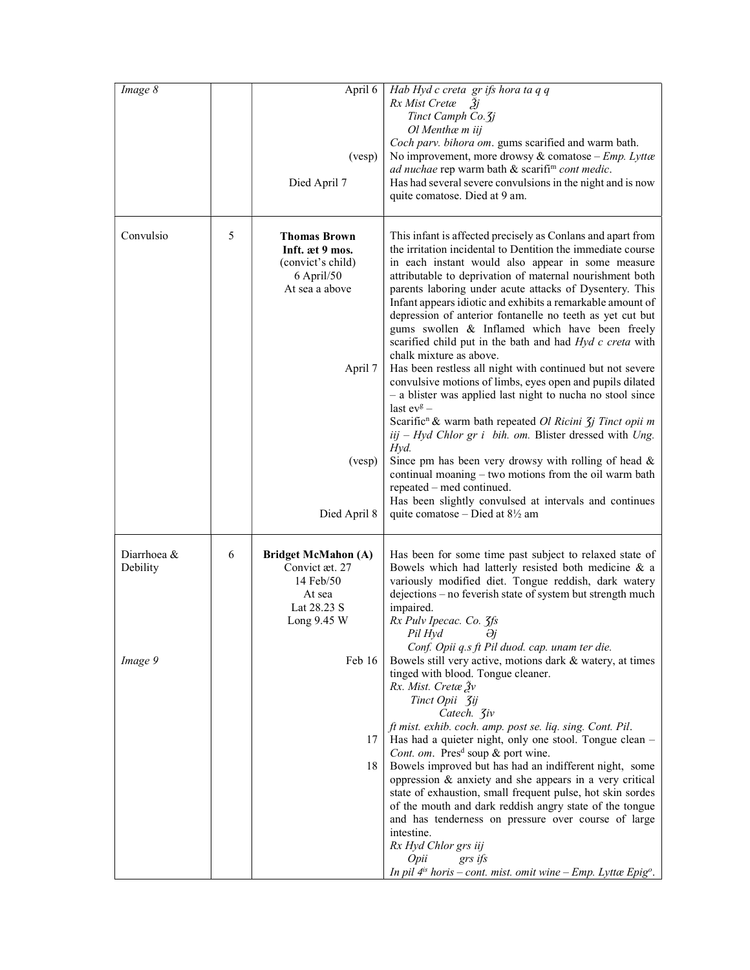| Image 8                            |   | April 6<br>(vesp)<br>Died April 7                                                                                                | Hab Hyd c creta gr ifs hora ta q q<br>Rx Mist Cretæ<br>2j<br>Tinct Camph Co. 3j<br>Ol Menthæm iij<br>Coch parv. bihora om. gums scarified and warm bath.<br>No improvement, more drowsy & comatose - $Emp.$ Lyttæ<br>ad nuchae rep warm bath & scarifi <sup>m</sup> cont medic.<br>Has had several severe convulsions in the night and is now<br>quite comatose. Died at 9 am.                                                                                                                                                                                                                                                                                                                                                                                                                                                                                                                                                                                                                                                                                                                                                                                                                    |
|------------------------------------|---|----------------------------------------------------------------------------------------------------------------------------------|---------------------------------------------------------------------------------------------------------------------------------------------------------------------------------------------------------------------------------------------------------------------------------------------------------------------------------------------------------------------------------------------------------------------------------------------------------------------------------------------------------------------------------------------------------------------------------------------------------------------------------------------------------------------------------------------------------------------------------------------------------------------------------------------------------------------------------------------------------------------------------------------------------------------------------------------------------------------------------------------------------------------------------------------------------------------------------------------------------------------------------------------------------------------------------------------------|
| Convulsio                          | 5 | <b>Thomas Brown</b><br>Inft. at 9 mos.<br>(convict's child)<br>6 April/50<br>At sea a above<br>April 7<br>(vesp)<br>Died April 8 | This infant is affected precisely as Conlans and apart from<br>the irritation incidental to Dentition the immediate course<br>in each instant would also appear in some measure<br>attributable to deprivation of maternal nourishment both<br>parents laboring under acute attacks of Dysentery. This<br>Infant appears idiotic and exhibits a remarkable amount of<br>depression of anterior fontanelle no teeth as yet cut but<br>gums swollen & Inflamed which have been freely<br>scarified child put in the bath and had Hyd c creta with<br>chalk mixture as above.<br>Has been restless all night with continued but not severe<br>convulsive motions of limbs, eyes open and pupils dilated<br>- a blister was applied last night to nucha no stool since<br>last $ev^g$ –<br>Scarific <sup>n</sup> & warm bath repeated Ol Ricini <i>Jj Tinct opii m</i><br>$iij$ – Hyd Chlor gr i bih. om. Blister dressed with Ung.<br>Hyd.<br>Since pm has been very drowsy with rolling of head $\&$<br>continual moaning - two motions from the oil warm bath<br>repeated – med continued.<br>Has been slightly convulsed at intervals and continues<br>quite comatose – Died at $8\frac{1}{2}$ am |
| Diarrhoea &<br>Debility<br>Image 9 | 6 | <b>Bridget McMahon (A)</b><br>Convict æt. 27<br>14 Feb/50<br>At sea<br>Lat 28.23 S<br>Long 9.45 W<br>Feb 16<br>17<br>18          | Has been for some time past subject to relaxed state of<br>Bowels which had latterly resisted both medicine & a<br>variously modified diet. Tongue reddish, dark watery<br>dejections - no feverish state of system but strength much<br>impaired.<br>Rx Pulv Ipecac. Co. 3fs<br>Pil Hyd<br>Əj<br>Conf. Opii q.s ft Pil duod. cap. unam ter die.<br>Bowels still very active, motions dark & watery, at times<br>tinged with blood. Tongue cleaner.<br>Rx. Mist. Cretæ Ѯv<br>Tinct Opii 3ij<br>Catech. <b>3iv</b><br>ft mist. exhib. coch. amp. post se. liq. sing. Cont. Pil.<br>Has had a quieter night, only one stool. Tongue clean -<br>Cont. om. Pres <sup>d</sup> soup & port wine.<br>Bowels improved but has had an indifferent night, some<br>oppression & anxiety and she appears in a very critical<br>state of exhaustion, small frequent pulse, hot skin sordes<br>of the mouth and dark reddish angry state of the tongue<br>and has tenderness on pressure over course of large<br>intestine.<br>Rx Hyd Chlor grs iij<br>Opii<br>grs ifs<br>In pil $4^{is}$ horis - cont. mist. omit wine - Emp. Lyttæ Epig <sup>o</sup> .                                                        |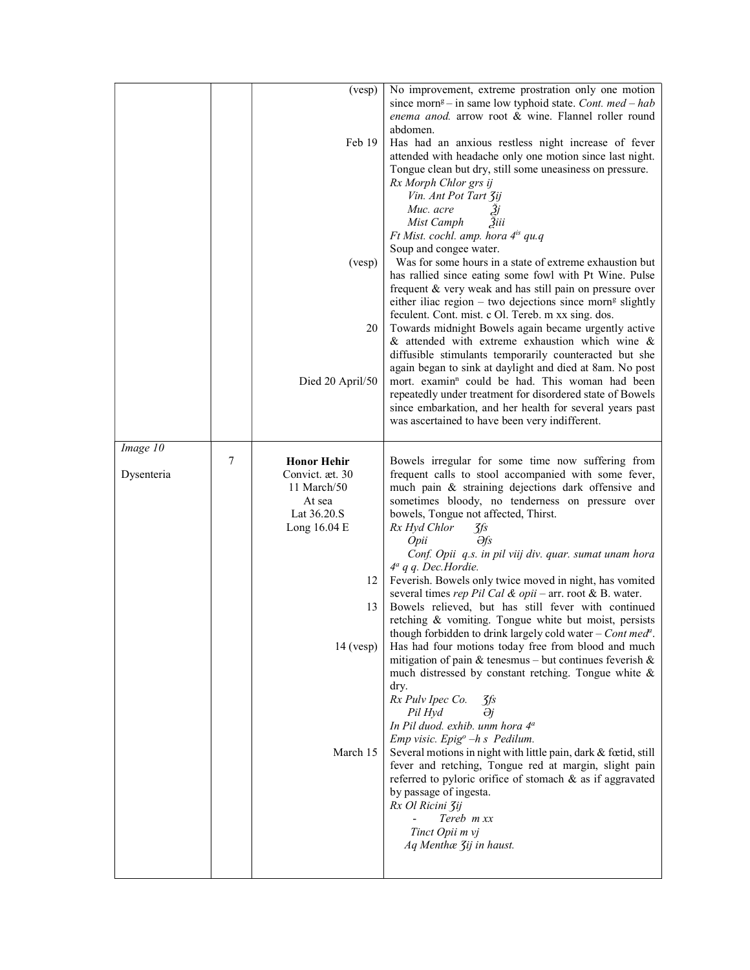|                        |   | (vesp)<br>Feb 19<br>(vesp)<br>20<br>Died 20 April/50                                                                                 | No improvement, extreme prostration only one motion<br>since morn <sup>g</sup> – in same low typhoid state. Cont. med – hab<br>enema anod. arrow root & wine. Flannel roller round<br>abdomen.<br>Has had an anxious restless night increase of fever<br>attended with headache only one motion since last night.<br>Tongue clean but dry, still some uneasiness on pressure.<br>Rx Morph Chlor grs ij<br>Vin. Ant Pot Tart 3ij<br>Muc. acre<br>31<br>Mist Camph<br>3iii<br>Ft Mist. cochl. amp. hora 4 <sup>is</sup> qu.q<br>Soup and congee water.<br>Was for some hours in a state of extreme exhaustion but<br>has rallied since eating some fowl with Pt Wine. Pulse<br>frequent & very weak and has still pain on pressure over<br>either iliac region - two dejections since morn <sup>g</sup> slightly<br>feculent. Cont. mist. c Ol. Tereb. m xx sing. dos.<br>Towards midnight Bowels again became urgently active<br>$\&$ attended with extreme exhaustion which wine $\&$<br>diffusible stimulants temporarily counteracted but she<br>again began to sink at daylight and died at 8am. No post<br>mort. examin <sup>n</sup> could be had. This woman had been<br>repeatedly under treatment for disordered state of Bowels<br>since embarkation, and her health for several years past                                                       |
|------------------------|---|--------------------------------------------------------------------------------------------------------------------------------------|-----------------------------------------------------------------------------------------------------------------------------------------------------------------------------------------------------------------------------------------------------------------------------------------------------------------------------------------------------------------------------------------------------------------------------------------------------------------------------------------------------------------------------------------------------------------------------------------------------------------------------------------------------------------------------------------------------------------------------------------------------------------------------------------------------------------------------------------------------------------------------------------------------------------------------------------------------------------------------------------------------------------------------------------------------------------------------------------------------------------------------------------------------------------------------------------------------------------------------------------------------------------------------------------------------------------------------------------------------------|
|                        |   |                                                                                                                                      | was ascertained to have been very indifferent.                                                                                                                                                                                                                                                                                                                                                                                                                                                                                                                                                                                                                                                                                                                                                                                                                                                                                                                                                                                                                                                                                                                                                                                                                                                                                                            |
| Image 10<br>Dysenteria | 7 | <b>Honor Hehir</b><br>Convict. æt. 30<br>11 March/50<br>At sea<br>Lat 36.20.S<br>Long 16.04 E<br>12<br>13<br>$14$ (vesp)<br>March 15 | Bowels irregular for some time now suffering from<br>frequent calls to stool accompanied with some fever,<br>much pain & straining dejections dark offensive and<br>sometimes bloody, no tenderness on pressure over<br>bowels, Tongue not affected, Thirst.<br>Rx Hyd Chlor<br>$\frac{f}{f}$<br>Əfs<br>Opii<br>Conf. Opii q.s. in pil viij div. quar. sumat unam hora<br>$4^a$ q q. Dec. Hordie.<br>Feverish. Bowels only twice moved in night, has vomited<br>several times rep Pil Cal & opii - arr. root & B. water.<br>Bowels relieved, but has still fever with continued<br>retching & vomiting. Tongue white but moist, persists<br>though forbidden to drink largely cold water – <i>Cont med<sup>a</sup></i> .<br>Has had four motions today free from blood and much<br>mitigation of pain & tenesmus – but continues feverish $\&$<br>much distressed by constant retching. Tongue white &<br>dry.<br>Rx Pulv Ipec Co.<br>zfs<br>Əj<br>Pil Hyd<br>In Pil duod. exhib. unm hora 4 <sup>a</sup><br>Emp visic. Epig <sup>o</sup> -h s Pedilum.<br>Several motions in night with little pain, dark & fœtid, still<br>fever and retching, Tongue red at margin, slight pain<br>referred to pyloric orifice of stomach & as if aggravated<br>by passage of ingesta.<br>Rx Ol Ricini Zij<br>Tereb m xx<br>Tinct Opii m vj<br>Aq Menthæ 3ij in haust. |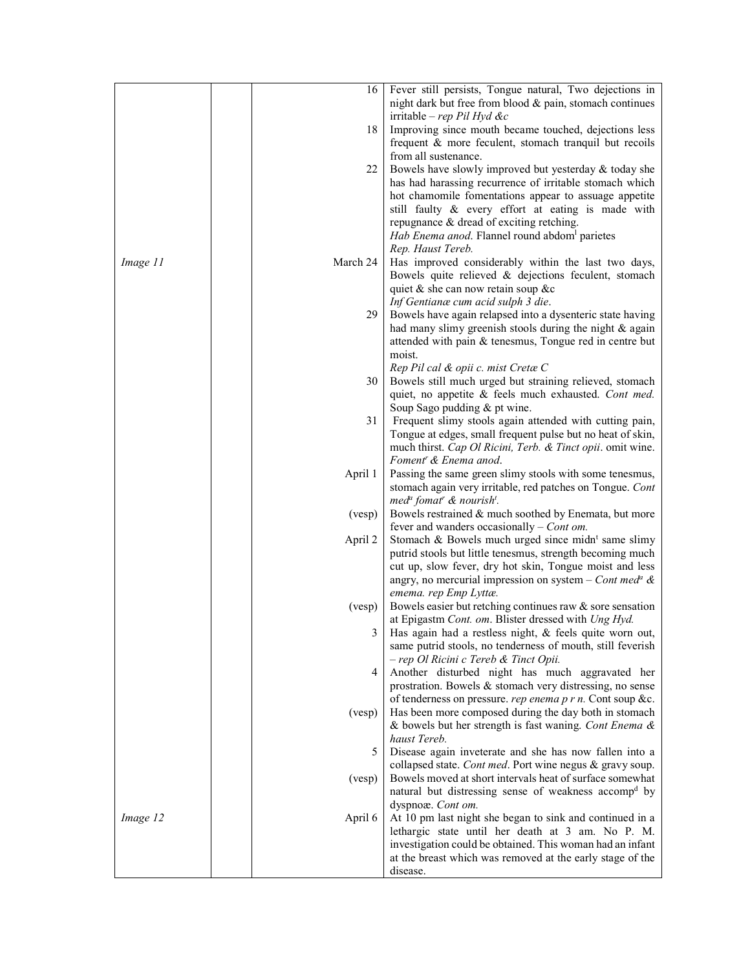| Fever still persists, Tongue natural, Two dejections in<br>16  <br>night dark but free from blood & pain, stomach continues<br>irritable – rep Pil Hyd &c<br>18<br>Improving since mouth became touched, dejections less<br>frequent & more feculent, stomach tranquil but recoils<br>from all sustenance.<br>22<br>Bowels have slowly improved but yesterday & today she<br>has had harassing recurrence of irritable stomach which<br>hot chamomile fomentations appear to assuage appetite<br>still faulty & every effort at eating is made with<br>repugnance & dread of exciting retching.<br>Hab Enema anod. Flannel round abdom parietes<br>Rep. Haust Tereb.<br>Image 11<br>March 24<br>Has improved considerably within the last two days,<br>Bowels quite relieved & dejections feculent, stomach<br>quiet & she can now retain soup &c<br>Inf Gentianæ cum acid sulph 3 die.<br>29<br>Bowels have again relapsed into a dysenteric state having<br>had many slimy greenish stools during the night & again<br>attended with pain & tenesmus, Tongue red in centre but<br>moist.<br>Rep Pil cal & opii c. mist Cretæ C<br>30<br>Bowels still much urged but straining relieved, stomach<br>quiet, no appetite & feels much exhausted. Cont med.<br>Soup Sago pudding & pt wine.<br>31<br>Frequent slimy stools again attended with cutting pain,<br>Tongue at edges, small frequent pulse but no heat of skin,<br>much thirst. Cap Ol Ricini, Terb. & Tinct opii. omit wine.<br>Foment <sup>r</sup> & Enema anod.<br>April 1<br>Passing the same green slimy stools with some tenesmus,<br>stomach again very irritable, red patches on Tongue. Cont<br>med <sup>a</sup> fomat <sup>r</sup> & nourish <sup>t</sup> .<br>(vesp)<br>Bowels restrained & much soothed by Enemata, but more<br>fever and wanders occasionally $-$ Cont om.<br>Stomach & Bowels much urged since midn <sup>t</sup> same slimy<br>April 2<br>putrid stools but little tenesmus, strength becoming much<br>cut up, slow fever, dry hot skin, Tongue moist and less<br>angry, no mercurial impression on system – Cont med <sup>a</sup> & |
|-----------------------------------------------------------------------------------------------------------------------------------------------------------------------------------------------------------------------------------------------------------------------------------------------------------------------------------------------------------------------------------------------------------------------------------------------------------------------------------------------------------------------------------------------------------------------------------------------------------------------------------------------------------------------------------------------------------------------------------------------------------------------------------------------------------------------------------------------------------------------------------------------------------------------------------------------------------------------------------------------------------------------------------------------------------------------------------------------------------------------------------------------------------------------------------------------------------------------------------------------------------------------------------------------------------------------------------------------------------------------------------------------------------------------------------------------------------------------------------------------------------------------------------------------------------------------------------------------------------------------------------------------------------------------------------------------------------------------------------------------------------------------------------------------------------------------------------------------------------------------------------------------------------------------------------------------------------------------------------------------------------------------------------------------------------------------------------------------------------------------------|
|                                                                                                                                                                                                                                                                                                                                                                                                                                                                                                                                                                                                                                                                                                                                                                                                                                                                                                                                                                                                                                                                                                                                                                                                                                                                                                                                                                                                                                                                                                                                                                                                                                                                                                                                                                                                                                                                                                                                                                                                                                                                                                                             |
|                                                                                                                                                                                                                                                                                                                                                                                                                                                                                                                                                                                                                                                                                                                                                                                                                                                                                                                                                                                                                                                                                                                                                                                                                                                                                                                                                                                                                                                                                                                                                                                                                                                                                                                                                                                                                                                                                                                                                                                                                                                                                                                             |
|                                                                                                                                                                                                                                                                                                                                                                                                                                                                                                                                                                                                                                                                                                                                                                                                                                                                                                                                                                                                                                                                                                                                                                                                                                                                                                                                                                                                                                                                                                                                                                                                                                                                                                                                                                                                                                                                                                                                                                                                                                                                                                                             |
|                                                                                                                                                                                                                                                                                                                                                                                                                                                                                                                                                                                                                                                                                                                                                                                                                                                                                                                                                                                                                                                                                                                                                                                                                                                                                                                                                                                                                                                                                                                                                                                                                                                                                                                                                                                                                                                                                                                                                                                                                                                                                                                             |
|                                                                                                                                                                                                                                                                                                                                                                                                                                                                                                                                                                                                                                                                                                                                                                                                                                                                                                                                                                                                                                                                                                                                                                                                                                                                                                                                                                                                                                                                                                                                                                                                                                                                                                                                                                                                                                                                                                                                                                                                                                                                                                                             |
|                                                                                                                                                                                                                                                                                                                                                                                                                                                                                                                                                                                                                                                                                                                                                                                                                                                                                                                                                                                                                                                                                                                                                                                                                                                                                                                                                                                                                                                                                                                                                                                                                                                                                                                                                                                                                                                                                                                                                                                                                                                                                                                             |
|                                                                                                                                                                                                                                                                                                                                                                                                                                                                                                                                                                                                                                                                                                                                                                                                                                                                                                                                                                                                                                                                                                                                                                                                                                                                                                                                                                                                                                                                                                                                                                                                                                                                                                                                                                                                                                                                                                                                                                                                                                                                                                                             |
|                                                                                                                                                                                                                                                                                                                                                                                                                                                                                                                                                                                                                                                                                                                                                                                                                                                                                                                                                                                                                                                                                                                                                                                                                                                                                                                                                                                                                                                                                                                                                                                                                                                                                                                                                                                                                                                                                                                                                                                                                                                                                                                             |
|                                                                                                                                                                                                                                                                                                                                                                                                                                                                                                                                                                                                                                                                                                                                                                                                                                                                                                                                                                                                                                                                                                                                                                                                                                                                                                                                                                                                                                                                                                                                                                                                                                                                                                                                                                                                                                                                                                                                                                                                                                                                                                                             |
|                                                                                                                                                                                                                                                                                                                                                                                                                                                                                                                                                                                                                                                                                                                                                                                                                                                                                                                                                                                                                                                                                                                                                                                                                                                                                                                                                                                                                                                                                                                                                                                                                                                                                                                                                                                                                                                                                                                                                                                                                                                                                                                             |
|                                                                                                                                                                                                                                                                                                                                                                                                                                                                                                                                                                                                                                                                                                                                                                                                                                                                                                                                                                                                                                                                                                                                                                                                                                                                                                                                                                                                                                                                                                                                                                                                                                                                                                                                                                                                                                                                                                                                                                                                                                                                                                                             |
|                                                                                                                                                                                                                                                                                                                                                                                                                                                                                                                                                                                                                                                                                                                                                                                                                                                                                                                                                                                                                                                                                                                                                                                                                                                                                                                                                                                                                                                                                                                                                                                                                                                                                                                                                                                                                                                                                                                                                                                                                                                                                                                             |
|                                                                                                                                                                                                                                                                                                                                                                                                                                                                                                                                                                                                                                                                                                                                                                                                                                                                                                                                                                                                                                                                                                                                                                                                                                                                                                                                                                                                                                                                                                                                                                                                                                                                                                                                                                                                                                                                                                                                                                                                                                                                                                                             |
|                                                                                                                                                                                                                                                                                                                                                                                                                                                                                                                                                                                                                                                                                                                                                                                                                                                                                                                                                                                                                                                                                                                                                                                                                                                                                                                                                                                                                                                                                                                                                                                                                                                                                                                                                                                                                                                                                                                                                                                                                                                                                                                             |
|                                                                                                                                                                                                                                                                                                                                                                                                                                                                                                                                                                                                                                                                                                                                                                                                                                                                                                                                                                                                                                                                                                                                                                                                                                                                                                                                                                                                                                                                                                                                                                                                                                                                                                                                                                                                                                                                                                                                                                                                                                                                                                                             |
|                                                                                                                                                                                                                                                                                                                                                                                                                                                                                                                                                                                                                                                                                                                                                                                                                                                                                                                                                                                                                                                                                                                                                                                                                                                                                                                                                                                                                                                                                                                                                                                                                                                                                                                                                                                                                                                                                                                                                                                                                                                                                                                             |
|                                                                                                                                                                                                                                                                                                                                                                                                                                                                                                                                                                                                                                                                                                                                                                                                                                                                                                                                                                                                                                                                                                                                                                                                                                                                                                                                                                                                                                                                                                                                                                                                                                                                                                                                                                                                                                                                                                                                                                                                                                                                                                                             |
|                                                                                                                                                                                                                                                                                                                                                                                                                                                                                                                                                                                                                                                                                                                                                                                                                                                                                                                                                                                                                                                                                                                                                                                                                                                                                                                                                                                                                                                                                                                                                                                                                                                                                                                                                                                                                                                                                                                                                                                                                                                                                                                             |
|                                                                                                                                                                                                                                                                                                                                                                                                                                                                                                                                                                                                                                                                                                                                                                                                                                                                                                                                                                                                                                                                                                                                                                                                                                                                                                                                                                                                                                                                                                                                                                                                                                                                                                                                                                                                                                                                                                                                                                                                                                                                                                                             |
|                                                                                                                                                                                                                                                                                                                                                                                                                                                                                                                                                                                                                                                                                                                                                                                                                                                                                                                                                                                                                                                                                                                                                                                                                                                                                                                                                                                                                                                                                                                                                                                                                                                                                                                                                                                                                                                                                                                                                                                                                                                                                                                             |
|                                                                                                                                                                                                                                                                                                                                                                                                                                                                                                                                                                                                                                                                                                                                                                                                                                                                                                                                                                                                                                                                                                                                                                                                                                                                                                                                                                                                                                                                                                                                                                                                                                                                                                                                                                                                                                                                                                                                                                                                                                                                                                                             |
|                                                                                                                                                                                                                                                                                                                                                                                                                                                                                                                                                                                                                                                                                                                                                                                                                                                                                                                                                                                                                                                                                                                                                                                                                                                                                                                                                                                                                                                                                                                                                                                                                                                                                                                                                                                                                                                                                                                                                                                                                                                                                                                             |
|                                                                                                                                                                                                                                                                                                                                                                                                                                                                                                                                                                                                                                                                                                                                                                                                                                                                                                                                                                                                                                                                                                                                                                                                                                                                                                                                                                                                                                                                                                                                                                                                                                                                                                                                                                                                                                                                                                                                                                                                                                                                                                                             |
|                                                                                                                                                                                                                                                                                                                                                                                                                                                                                                                                                                                                                                                                                                                                                                                                                                                                                                                                                                                                                                                                                                                                                                                                                                                                                                                                                                                                                                                                                                                                                                                                                                                                                                                                                                                                                                                                                                                                                                                                                                                                                                                             |
|                                                                                                                                                                                                                                                                                                                                                                                                                                                                                                                                                                                                                                                                                                                                                                                                                                                                                                                                                                                                                                                                                                                                                                                                                                                                                                                                                                                                                                                                                                                                                                                                                                                                                                                                                                                                                                                                                                                                                                                                                                                                                                                             |
|                                                                                                                                                                                                                                                                                                                                                                                                                                                                                                                                                                                                                                                                                                                                                                                                                                                                                                                                                                                                                                                                                                                                                                                                                                                                                                                                                                                                                                                                                                                                                                                                                                                                                                                                                                                                                                                                                                                                                                                                                                                                                                                             |
|                                                                                                                                                                                                                                                                                                                                                                                                                                                                                                                                                                                                                                                                                                                                                                                                                                                                                                                                                                                                                                                                                                                                                                                                                                                                                                                                                                                                                                                                                                                                                                                                                                                                                                                                                                                                                                                                                                                                                                                                                                                                                                                             |
|                                                                                                                                                                                                                                                                                                                                                                                                                                                                                                                                                                                                                                                                                                                                                                                                                                                                                                                                                                                                                                                                                                                                                                                                                                                                                                                                                                                                                                                                                                                                                                                                                                                                                                                                                                                                                                                                                                                                                                                                                                                                                                                             |
|                                                                                                                                                                                                                                                                                                                                                                                                                                                                                                                                                                                                                                                                                                                                                                                                                                                                                                                                                                                                                                                                                                                                                                                                                                                                                                                                                                                                                                                                                                                                                                                                                                                                                                                                                                                                                                                                                                                                                                                                                                                                                                                             |
|                                                                                                                                                                                                                                                                                                                                                                                                                                                                                                                                                                                                                                                                                                                                                                                                                                                                                                                                                                                                                                                                                                                                                                                                                                                                                                                                                                                                                                                                                                                                                                                                                                                                                                                                                                                                                                                                                                                                                                                                                                                                                                                             |
|                                                                                                                                                                                                                                                                                                                                                                                                                                                                                                                                                                                                                                                                                                                                                                                                                                                                                                                                                                                                                                                                                                                                                                                                                                                                                                                                                                                                                                                                                                                                                                                                                                                                                                                                                                                                                                                                                                                                                                                                                                                                                                                             |
|                                                                                                                                                                                                                                                                                                                                                                                                                                                                                                                                                                                                                                                                                                                                                                                                                                                                                                                                                                                                                                                                                                                                                                                                                                                                                                                                                                                                                                                                                                                                                                                                                                                                                                                                                                                                                                                                                                                                                                                                                                                                                                                             |
|                                                                                                                                                                                                                                                                                                                                                                                                                                                                                                                                                                                                                                                                                                                                                                                                                                                                                                                                                                                                                                                                                                                                                                                                                                                                                                                                                                                                                                                                                                                                                                                                                                                                                                                                                                                                                                                                                                                                                                                                                                                                                                                             |
|                                                                                                                                                                                                                                                                                                                                                                                                                                                                                                                                                                                                                                                                                                                                                                                                                                                                                                                                                                                                                                                                                                                                                                                                                                                                                                                                                                                                                                                                                                                                                                                                                                                                                                                                                                                                                                                                                                                                                                                                                                                                                                                             |
|                                                                                                                                                                                                                                                                                                                                                                                                                                                                                                                                                                                                                                                                                                                                                                                                                                                                                                                                                                                                                                                                                                                                                                                                                                                                                                                                                                                                                                                                                                                                                                                                                                                                                                                                                                                                                                                                                                                                                                                                                                                                                                                             |
|                                                                                                                                                                                                                                                                                                                                                                                                                                                                                                                                                                                                                                                                                                                                                                                                                                                                                                                                                                                                                                                                                                                                                                                                                                                                                                                                                                                                                                                                                                                                                                                                                                                                                                                                                                                                                                                                                                                                                                                                                                                                                                                             |
|                                                                                                                                                                                                                                                                                                                                                                                                                                                                                                                                                                                                                                                                                                                                                                                                                                                                                                                                                                                                                                                                                                                                                                                                                                                                                                                                                                                                                                                                                                                                                                                                                                                                                                                                                                                                                                                                                                                                                                                                                                                                                                                             |
| emema. rep Emp Lyttæ.                                                                                                                                                                                                                                                                                                                                                                                                                                                                                                                                                                                                                                                                                                                                                                                                                                                                                                                                                                                                                                                                                                                                                                                                                                                                                                                                                                                                                                                                                                                                                                                                                                                                                                                                                                                                                                                                                                                                                                                                                                                                                                       |
| Bowels easier but retching continues raw $\&$ sore sensation<br>(vesp)                                                                                                                                                                                                                                                                                                                                                                                                                                                                                                                                                                                                                                                                                                                                                                                                                                                                                                                                                                                                                                                                                                                                                                                                                                                                                                                                                                                                                                                                                                                                                                                                                                                                                                                                                                                                                                                                                                                                                                                                                                                      |
| at Epigastm Cont. om. Blister dressed with Ung Hyd.                                                                                                                                                                                                                                                                                                                                                                                                                                                                                                                                                                                                                                                                                                                                                                                                                                                                                                                                                                                                                                                                                                                                                                                                                                                                                                                                                                                                                                                                                                                                                                                                                                                                                                                                                                                                                                                                                                                                                                                                                                                                         |
| 3<br>Has again had a restless night, & feels quite worn out,                                                                                                                                                                                                                                                                                                                                                                                                                                                                                                                                                                                                                                                                                                                                                                                                                                                                                                                                                                                                                                                                                                                                                                                                                                                                                                                                                                                                                                                                                                                                                                                                                                                                                                                                                                                                                                                                                                                                                                                                                                                                |
| same putrid stools, no tenderness of mouth, still feverish                                                                                                                                                                                                                                                                                                                                                                                                                                                                                                                                                                                                                                                                                                                                                                                                                                                                                                                                                                                                                                                                                                                                                                                                                                                                                                                                                                                                                                                                                                                                                                                                                                                                                                                                                                                                                                                                                                                                                                                                                                                                  |
| - rep Ol Ricini c Tereb & Tinct Opii.                                                                                                                                                                                                                                                                                                                                                                                                                                                                                                                                                                                                                                                                                                                                                                                                                                                                                                                                                                                                                                                                                                                                                                                                                                                                                                                                                                                                                                                                                                                                                                                                                                                                                                                                                                                                                                                                                                                                                                                                                                                                                       |
| 4<br>Another disturbed night has much aggravated her                                                                                                                                                                                                                                                                                                                                                                                                                                                                                                                                                                                                                                                                                                                                                                                                                                                                                                                                                                                                                                                                                                                                                                                                                                                                                                                                                                                                                                                                                                                                                                                                                                                                                                                                                                                                                                                                                                                                                                                                                                                                        |
| prostration. Bowels & stomach very distressing, no sense                                                                                                                                                                                                                                                                                                                                                                                                                                                                                                                                                                                                                                                                                                                                                                                                                                                                                                                                                                                                                                                                                                                                                                                                                                                                                                                                                                                                                                                                                                                                                                                                                                                                                                                                                                                                                                                                                                                                                                                                                                                                    |
| of tenderness on pressure. rep enema p r n. Cont soup &c.                                                                                                                                                                                                                                                                                                                                                                                                                                                                                                                                                                                                                                                                                                                                                                                                                                                                                                                                                                                                                                                                                                                                                                                                                                                                                                                                                                                                                                                                                                                                                                                                                                                                                                                                                                                                                                                                                                                                                                                                                                                                   |
| Has been more composed during the day both in stomach<br>(vesp)                                                                                                                                                                                                                                                                                                                                                                                                                                                                                                                                                                                                                                                                                                                                                                                                                                                                                                                                                                                                                                                                                                                                                                                                                                                                                                                                                                                                                                                                                                                                                                                                                                                                                                                                                                                                                                                                                                                                                                                                                                                             |
| & bowels but her strength is fast waning. Cont Enema &                                                                                                                                                                                                                                                                                                                                                                                                                                                                                                                                                                                                                                                                                                                                                                                                                                                                                                                                                                                                                                                                                                                                                                                                                                                                                                                                                                                                                                                                                                                                                                                                                                                                                                                                                                                                                                                                                                                                                                                                                                                                      |
| haust Tereb.                                                                                                                                                                                                                                                                                                                                                                                                                                                                                                                                                                                                                                                                                                                                                                                                                                                                                                                                                                                                                                                                                                                                                                                                                                                                                                                                                                                                                                                                                                                                                                                                                                                                                                                                                                                                                                                                                                                                                                                                                                                                                                                |
| 5<br>Disease again inveterate and she has now fallen into a                                                                                                                                                                                                                                                                                                                                                                                                                                                                                                                                                                                                                                                                                                                                                                                                                                                                                                                                                                                                                                                                                                                                                                                                                                                                                                                                                                                                                                                                                                                                                                                                                                                                                                                                                                                                                                                                                                                                                                                                                                                                 |
| collapsed state. Cont med. Port wine negus & gravy soup.                                                                                                                                                                                                                                                                                                                                                                                                                                                                                                                                                                                                                                                                                                                                                                                                                                                                                                                                                                                                                                                                                                                                                                                                                                                                                                                                                                                                                                                                                                                                                                                                                                                                                                                                                                                                                                                                                                                                                                                                                                                                    |
| Bowels moved at short intervals heat of surface somewhat<br>$(v \exp)$                                                                                                                                                                                                                                                                                                                                                                                                                                                                                                                                                                                                                                                                                                                                                                                                                                                                                                                                                                                                                                                                                                                                                                                                                                                                                                                                                                                                                                                                                                                                                                                                                                                                                                                                                                                                                                                                                                                                                                                                                                                      |
| natural but distressing sense of weakness accomp <sup>d</sup> by                                                                                                                                                                                                                                                                                                                                                                                                                                                                                                                                                                                                                                                                                                                                                                                                                                                                                                                                                                                                                                                                                                                                                                                                                                                                                                                                                                                                                                                                                                                                                                                                                                                                                                                                                                                                                                                                                                                                                                                                                                                            |
| dyspnoæ. Cont om.                                                                                                                                                                                                                                                                                                                                                                                                                                                                                                                                                                                                                                                                                                                                                                                                                                                                                                                                                                                                                                                                                                                                                                                                                                                                                                                                                                                                                                                                                                                                                                                                                                                                                                                                                                                                                                                                                                                                                                                                                                                                                                           |
| Image 12<br>April 6<br>At 10 pm last night she began to sink and continued in a                                                                                                                                                                                                                                                                                                                                                                                                                                                                                                                                                                                                                                                                                                                                                                                                                                                                                                                                                                                                                                                                                                                                                                                                                                                                                                                                                                                                                                                                                                                                                                                                                                                                                                                                                                                                                                                                                                                                                                                                                                             |
| lethargic state until her death at 3 am. No P. M.                                                                                                                                                                                                                                                                                                                                                                                                                                                                                                                                                                                                                                                                                                                                                                                                                                                                                                                                                                                                                                                                                                                                                                                                                                                                                                                                                                                                                                                                                                                                                                                                                                                                                                                                                                                                                                                                                                                                                                                                                                                                           |
| investigation could be obtained. This woman had an infant                                                                                                                                                                                                                                                                                                                                                                                                                                                                                                                                                                                                                                                                                                                                                                                                                                                                                                                                                                                                                                                                                                                                                                                                                                                                                                                                                                                                                                                                                                                                                                                                                                                                                                                                                                                                                                                                                                                                                                                                                                                                   |
| at the breast which was removed at the early stage of the                                                                                                                                                                                                                                                                                                                                                                                                                                                                                                                                                                                                                                                                                                                                                                                                                                                                                                                                                                                                                                                                                                                                                                                                                                                                                                                                                                                                                                                                                                                                                                                                                                                                                                                                                                                                                                                                                                                                                                                                                                                                   |
| disease.                                                                                                                                                                                                                                                                                                                                                                                                                                                                                                                                                                                                                                                                                                                                                                                                                                                                                                                                                                                                                                                                                                                                                                                                                                                                                                                                                                                                                                                                                                                                                                                                                                                                                                                                                                                                                                                                                                                                                                                                                                                                                                                    |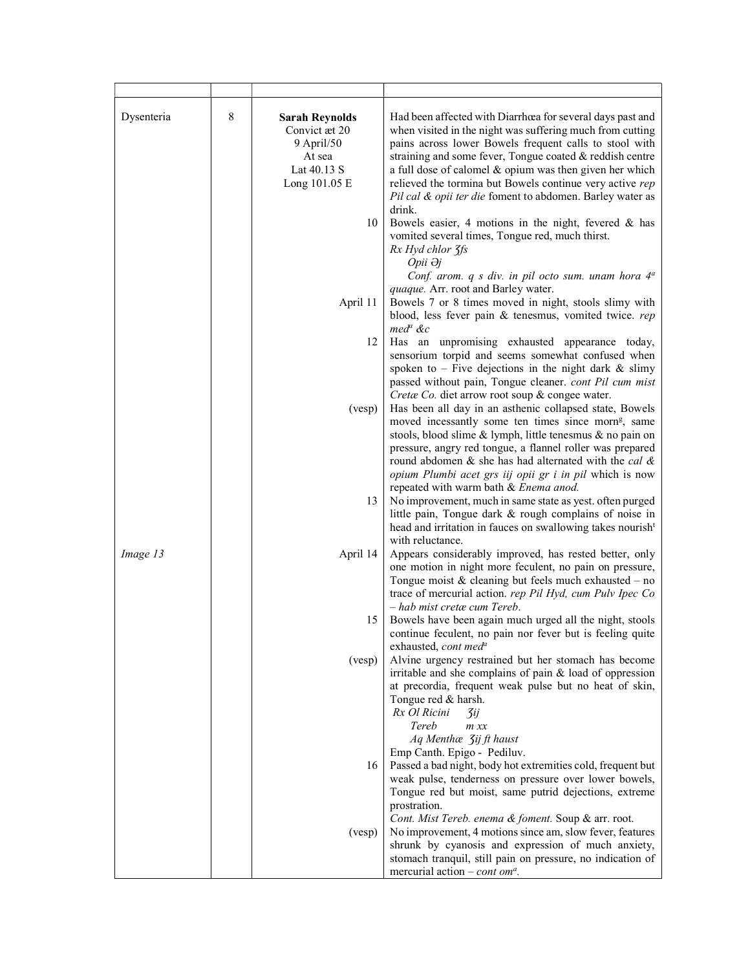| Dysenteria | 8 | <b>Sarah Reynolds</b><br>Convict æt 20<br>9 April/50<br>At sea<br>Lat 40.13 S<br>Long 101.05 E<br>10 | Had been affected with Diarrhœa for several days past and<br>when visited in the night was suffering much from cutting<br>pains across lower Bowels frequent calls to stool with<br>straining and some fever, Tongue coated & reddish centre<br>a full dose of calomel & opium was then given her which<br>relieved the tormina but Bowels continue very active rep<br>Pil cal & opii ter die foment to abdomen. Barley water as<br>drink.<br>Bowels easier, 4 motions in the night, fevered $\&$ has<br>vomited several times, Tongue red, much thirst.<br>Rx Hyd chlor 3fs<br>Opii Əj |
|------------|---|------------------------------------------------------------------------------------------------------|-----------------------------------------------------------------------------------------------------------------------------------------------------------------------------------------------------------------------------------------------------------------------------------------------------------------------------------------------------------------------------------------------------------------------------------------------------------------------------------------------------------------------------------------------------------------------------------------|
|            |   | April 11                                                                                             | Conf. arom. $q$ s div. in pil octo sum. unam hora $4^a$<br>quaque. Arr. root and Barley water.<br>Bowels 7 or 8 times moved in night, stools slimy with<br>blood, less fever pain & tenesmus, vomited twice. rep<br>$med^a$ &c                                                                                                                                                                                                                                                                                                                                                          |
|            |   | 12                                                                                                   | Has an unpromising exhausted appearance today,<br>sensorium torpid and seems somewhat confused when<br>spoken to $-$ Five dejections in the night dark $\&$ slimy<br>passed without pain, Tongue cleaner. cont Pil cum mist                                                                                                                                                                                                                                                                                                                                                             |
|            |   | (vesp)                                                                                               | Cretæ Co. diet arrow root soup & congee water.<br>Has been all day in an asthenic collapsed state, Bowels<br>moved incessantly some ten times since morn <sup>g</sup> , same<br>stools, blood slime & lymph, little tenesmus & no pain on<br>pressure, angry red tongue, a flannel roller was prepared<br>round abdomen $\&$ she has had alternated with the cal $\&$<br>opium Plumbi acet grs iij opii gr i in pil which is now                                                                                                                                                        |
|            |   | 13                                                                                                   | repeated with warm bath & Enema anod.<br>No improvement, much in same state as yest. often purged<br>little pain, Tongue dark & rough complains of noise in<br>head and irritation in fauces on swallowing takes nourish <sup>t</sup>                                                                                                                                                                                                                                                                                                                                                   |
| Image 13   |   | April 14                                                                                             | with reluctance.<br>Appears considerably improved, has rested better, only<br>one motion in night more feculent, no pain on pressure,<br>Tongue moist $&$ cleaning but feels much exhausted – no<br>trace of mercurial action. rep Pil Hyd, cum Pulv Ipec Co                                                                                                                                                                                                                                                                                                                            |
|            |   | 15                                                                                                   | - hab mist cretæ cum Tereb.<br>Bowels have been again much urged all the night, stools<br>continue feculent, no pain nor fever but is feeling quite<br>exhausted, cont med <sup>a</sup>                                                                                                                                                                                                                                                                                                                                                                                                 |
|            |   | (vesp)                                                                                               | Alvine urgency restrained but her stomach has become<br>irritable and she complains of pain & load of oppression<br>at precordia, frequent weak pulse but no heat of skin,<br>Tongue red & harsh.<br>Rx Ol Ricini<br>3ij<br>Tereb<br>$m$ $xx$                                                                                                                                                                                                                                                                                                                                           |
|            |   | 16                                                                                                   | Aq Menthæ <i>Jij ft haust</i><br>Emp Canth. Epigo - Pediluv.<br>Passed a bad night, body hot extremities cold, frequent but<br>weak pulse, tenderness on pressure over lower bowels,<br>Tongue red but moist, same putrid dejections, extreme<br>prostration.                                                                                                                                                                                                                                                                                                                           |
|            |   | (vesp)                                                                                               | Cont. Mist Tereb. enema & foment. Soup & arr. root.<br>No improvement, 4 motions since am, slow fever, features<br>shrunk by cyanosis and expression of much anxiety,<br>stomach tranquil, still pain on pressure, no indication of<br>mercurial action – cont om <sup>a</sup> .                                                                                                                                                                                                                                                                                                        |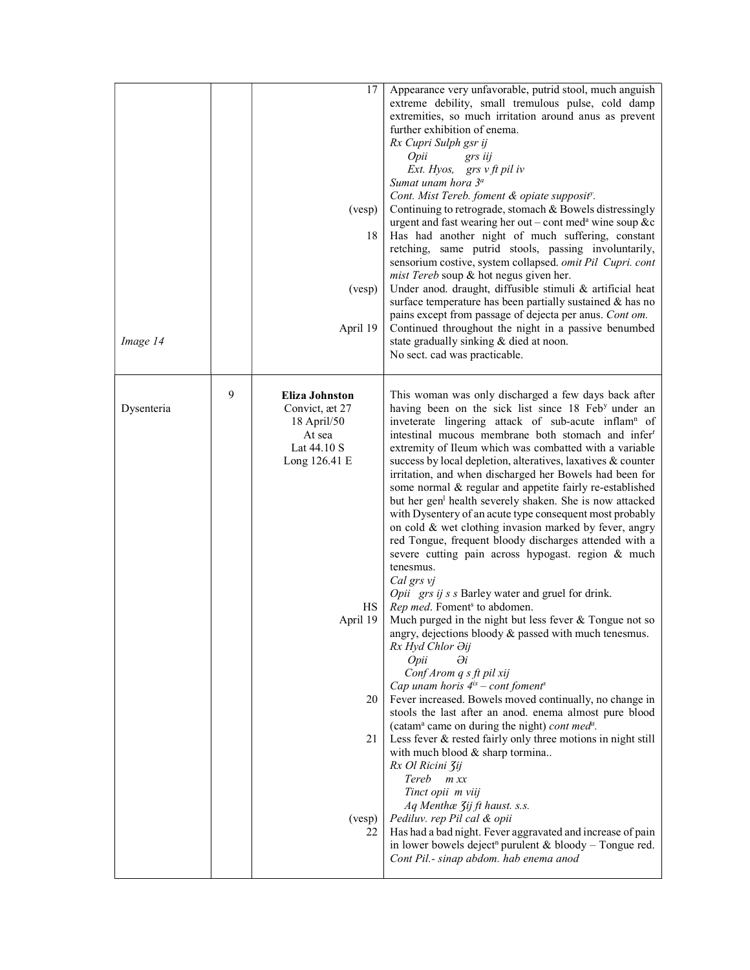| Image 14   |   | 17<br>(vesp)<br>18<br>(vesp)<br>April 19                                                               | Appearance very unfavorable, putrid stool, much anguish<br>extreme debility, small tremulous pulse, cold damp<br>extremities, so much irritation around anus as prevent<br>further exhibition of enema.<br>Rx Cupri Sulph gsr ij<br>Opii<br>grs iij<br>Ext. Hyos, grs v ft pil iv<br>Sumat unam hora 3 <sup>a</sup><br>Cont. Mist Tereb. foment & opiate supposit <sup>y</sup> .<br>Continuing to retrograde, stomach & Bowels distressingly<br>urgent and fast wearing her out – cont med <sup>a</sup> wine soup &c<br>Has had another night of much suffering, constant<br>retching, same putrid stools, passing involuntarily,<br>sensorium costive, system collapsed. omit Pil Cupri. cont<br>mist Tereb soup & hot negus given her.<br>Under anod. draught, diffusible stimuli & artificial heat<br>surface temperature has been partially sustained & has no<br>pains except from passage of dejecta per anus. Cont om.<br>Continued throughout the night in a passive benumbed<br>state gradually sinking & died at noon.<br>No sect. cad was practicable. |
|------------|---|--------------------------------------------------------------------------------------------------------|-------------------------------------------------------------------------------------------------------------------------------------------------------------------------------------------------------------------------------------------------------------------------------------------------------------------------------------------------------------------------------------------------------------------------------------------------------------------------------------------------------------------------------------------------------------------------------------------------------------------------------------------------------------------------------------------------------------------------------------------------------------------------------------------------------------------------------------------------------------------------------------------------------------------------------------------------------------------------------------------------------------------------------------------------------------------|
| Dysenteria | 9 | <b>Eliza Johnston</b><br>Convict, æt 27<br>18 April/50<br>At sea<br>Lat 44.10 S<br>Long 126.41 E<br>HS | This woman was only discharged a few days back after<br>having been on the sick list since 18 Feb <sup>y</sup> under an<br>inveterate lingering attack of sub-acute inflam <sup>n</sup> of<br>intestinal mucous membrane both stomach and infer<br>extremity of Ileum which was combatted with a variable<br>success by local depletion, alteratives, laxatives & counter<br>irritation, and when discharged her Bowels had been for<br>some normal & regular and appetite fairly re-established<br>but her gen <sup>1</sup> health severely shaken. She is now attacked<br>with Dysentery of an acute type consequent most probably<br>on cold & wet clothing invasion marked by fever, angry<br>red Tongue, frequent bloody discharges attended with a<br>severe cutting pain across hypogast. region & much<br>tenesmus.<br>Cal grs vj<br>Opii grs ij s s Barley water and gruel for drink.<br>Rep med. Foment <sup>s</sup> to abdomen.                                                                                                                        |
|            |   | April 19<br>20<br>21<br>(vesp)<br>22                                                                   | Much purged in the night but less fever & Tongue not so<br>angry, dejections bloody $\&$ passed with much tenesmus.<br>Rx Hyd Chlor Əij<br>$\partial i$<br>Opii<br>Conf Arom q s ft pil xij<br>Cap unam horis $4^{is}$ – cont foment <sup>s</sup><br>Fever increased. Bowels moved continually, no change in<br>stools the last after an anod. enema almost pure blood<br>(catam <sup>a</sup> came on during the night) cont med <sup>a</sup> .<br>Less fever & rested fairly only three motions in night still<br>with much blood $&$ sharp tormina<br>Rx Ol Ricini Zij<br>Tereb<br>$m$ $xx$<br>Tinct opii m viij<br>Aq Menthæ 3ij ft haust. s.s.<br>Pediluv. rep Pil cal & opii<br>Has had a bad night. Fever aggravated and increase of pain<br>in lower bowels deject <sup>n</sup> purulent & bloody - Tongue red.<br>Cont Pil.- sinap abdom. hab enema anod                                                                                                                                                                                                  |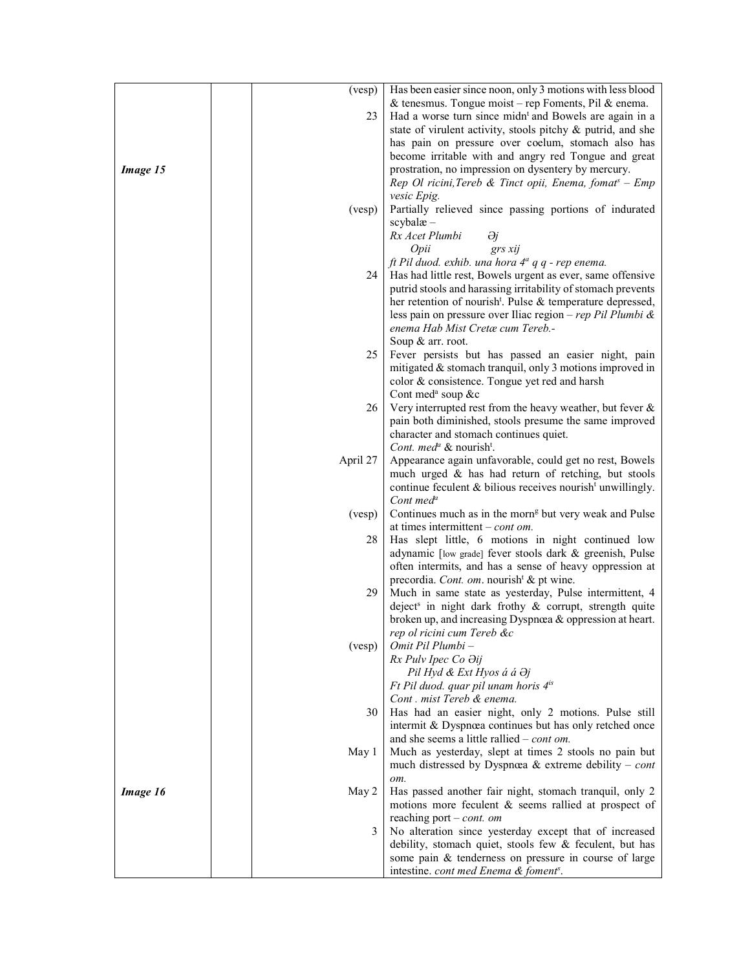|          | (vesp)   | Has been easier since noon, only 3 motions with less blood             |
|----------|----------|------------------------------------------------------------------------|
|          |          |                                                                        |
|          |          | & tenesmus. Tongue moist – rep Foments, Pil & enema.                   |
|          | 23       | Had a worse turn since midn <sup>t</sup> and Bowels are again in a     |
|          |          | state of virulent activity, stools pitchy & putrid, and she            |
|          |          | has pain on pressure over coelum, stomach also has                     |
|          |          | become irritable with and angry red Tongue and great                   |
| Image 15 |          | prostration, no impression on dysentery by mercury.                    |
|          |          | Rep Ol ricini, Tereb & Tinct opii, Enema, fomat <sup>s</sup> - Emp     |
|          |          | vesic Epig.                                                            |
|          | (vesp)   | Partially relieved since passing portions of indurated                 |
|          |          | $scyb$ alæ $-$                                                         |
|          |          | Rx Acet Plumbi<br>Әj                                                   |
|          |          | Opii<br>grs xij                                                        |
|          |          | ft Pil duod. exhib. una hora 4 <sup>ª</sup> q q - rep enema.           |
|          | 24       | Has had little rest, Bowels urgent as ever, same offensive             |
|          |          | putrid stools and harassing irritability of stomach prevents           |
|          |          | her retention of nourish <sup>t</sup> . Pulse & temperature depressed, |
|          |          | less pain on pressure over Iliac region - rep Pil Plumbi &             |
|          |          |                                                                        |
|          |          | enema Hab Mist Cretæ cum Tereb .-                                      |
|          |          | Soup & arr. root.                                                      |
|          | 25       | Fever persists but has passed an easier night, pain                    |
|          |          | mitigated & stomach tranquil, only 3 motions improved in               |
|          |          | color & consistence. Tongue yet red and harsh                          |
|          |          | Cont med <sup>a</sup> soup &c                                          |
|          | 26       | Very interrupted rest from the heavy weather, but fever $\&$           |
|          |          | pain both diminished, stools presume the same improved                 |
|          |          | character and stomach continues quiet.                                 |
|          |          | Cont. med <sup>a</sup> & nourish <sup>t</sup> .                        |
|          | April 27 | Appearance again unfavorable, could get no rest, Bowels                |
|          |          | much urged & has had return of retching, but stools                    |
|          |          | continue feculent & bilious receives nourish <sup>t</sup> unwillingly. |
|          |          | Cont med <sup><math>a</math></sup>                                     |
|          | (vesp)   | Continues much as in the morn <sup>g</sup> but very weak and Pulse     |
|          |          | at times intermittent $-$ <i>cont om.</i>                              |
|          | 28       | Has slept little, 6 motions in night continued low                     |
|          |          | adynamic [low grade] fever stools dark & greenish, Pulse               |
|          |          | often intermits, and has a sense of heavy oppression at                |
|          |          | precordia. Cont. om. nourish <sup>t</sup> & pt wine.                   |
|          | 29       | Much in same state as yesterday, Pulse intermittent, 4                 |
|          |          | deject <sup>s</sup> in night dark frothy & corrupt, strength quite     |
|          |          |                                                                        |
|          |          | broken up, and increasing Dyspnœa & oppression at heart.               |
|          |          | rep ol ricini cum Tereb &c                                             |
|          | (vesp)   | Omit Pil Plumbi -                                                      |
|          |          | Rx Pulv Ipec Co Oij                                                    |
|          |          | Pil Hyd & Ext Hyos á á Əj                                              |
|          |          | Ft Pil duod. quar pil unam horis 4 <sup>is</sup>                       |
|          |          | Cont. mist Tereb & enema.                                              |
|          | 30       | Has had an easier night, only 2 motions. Pulse still                   |
|          |          | intermit & Dyspnœa continues but has only retched once                 |
|          |          | and she seems a little rallied $-$ <i>cont om.</i>                     |
|          | May 1    | Much as yesterday, slept at times 2 stools no pain but                 |
|          |          | much distressed by Dyspnœa & extreme debility – cont                   |
|          |          | om.                                                                    |
| Image 16 | May 2    | Has passed another fair night, stomach tranquil, only 2                |
|          |          | motions more feculent & seems rallied at prospect of                   |
|          |          | reaching port $-$ cont. om                                             |
|          | 3        | No alteration since yesterday except that of increased                 |
|          |          | debility, stomach quiet, stools few & feculent, but has                |
|          |          | some pain & tenderness on pressure in course of large                  |
|          |          | intestine. cont med Enema & foment <sup>s</sup> .                      |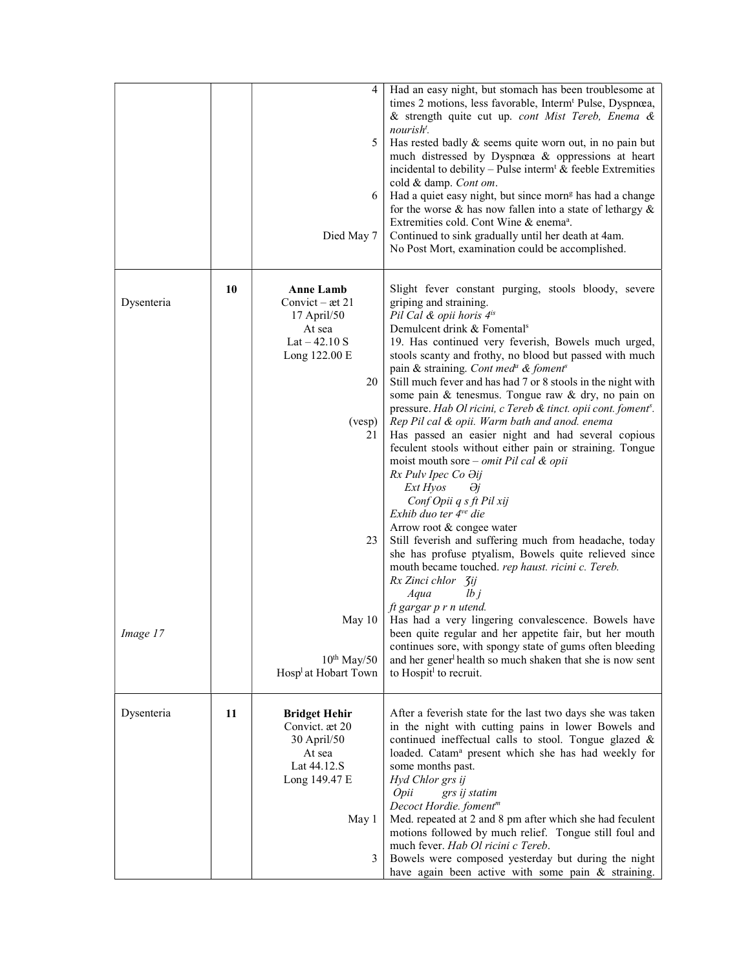|            |    | 4<br>5.<br>6<br>Died May 7                                                                                                       | Had an easy night, but stomach has been troublesome at<br>times 2 motions, less favorable, Interm <sup>t</sup> Pulse, Dyspnœa,<br>& strength quite cut up. cont Mist Tereb, Enema &<br>nourish <sup>t</sup> .<br>Has rested badly $\&$ seems quite worn out, in no pain but<br>much distressed by Dyspnœa & oppressions at heart<br>incidental to debility – Pulse interm <sup>t</sup> $\&$ feeble Extremities<br>cold & damp. Cont om.<br>Had a quiet easy night, but since morn <sup>g</sup> has had a change<br>for the worse $\&$ has now fallen into a state of lethargy $\&$<br>Extremities cold. Cont Wine & enema <sup>a</sup> .<br>Continued to sink gradually until her death at 4am.<br>No Post Mort, examination could be accomplished.                                                                                                                                                                                                                                                                                                                                                                                                         |
|------------|----|----------------------------------------------------------------------------------------------------------------------------------|-------------------------------------------------------------------------------------------------------------------------------------------------------------------------------------------------------------------------------------------------------------------------------------------------------------------------------------------------------------------------------------------------------------------------------------------------------------------------------------------------------------------------------------------------------------------------------------------------------------------------------------------------------------------------------------------------------------------------------------------------------------------------------------------------------------------------------------------------------------------------------------------------------------------------------------------------------------------------------------------------------------------------------------------------------------------------------------------------------------------------------------------------------------|
| Dysenteria | 10 | <b>Anne Lamb</b><br>Convict $-$ æt 21<br>$17$ April/50<br>At sea<br>$Lat - 42.10 S$<br>Long 122.00 E<br>20<br>(vesp)<br>21<br>23 | Slight fever constant purging, stools bloody, severe<br>griping and straining.<br>Pil Cal & opii horis 4 <sup>is</sup><br>Demulcent drink & Fomental <sup>s</sup><br>19. Has continued very feverish, Bowels much urged,<br>stools scanty and frothy, no blood but passed with much<br>pain & straining. Cont med <sup>a</sup> & foment <sup>s</sup><br>Still much fever and has had 7 or 8 stools in the night with<br>some pain & tenesmus. Tongue raw & dry, no pain on<br>pressure. Hab Ol ricini, c Tereb & tinct. opii cont. foment <sup>s</sup> .<br>Rep Pil cal & opii. Warm bath and anod. enema<br>Has passed an easier night and had several copious<br>feculent stools without either pain or straining. Tongue<br>moist mouth sore – <i>omit Pil cal &amp; opii</i><br>Rx Pulv Ipec Co Əij<br>Ext Hyos<br>θj<br>Conf Opii q s ft Pil xij<br>Exhib duo ter $4^{\vee e}$ die<br>Arrow root & congee water<br>Still feverish and suffering much from headache, today<br>she has profuse ptyalism, Bowels quite relieved since<br>mouth became touched. rep haust. ricini c. Tereb.<br>Rx Zinci chlor 3ij<br>Aqua<br>lbj<br>ft gargar p r n utend. |
| Image 17   |    | May 10<br>$10^{th}$ May/50<br>Hosp <sup>1</sup> at Hobart Town                                                                   | Has had a very lingering convalescence. Bowels have<br>been quite regular and her appetite fair, but her mouth<br>continues sore, with spongy state of gums often bleeding<br>and her gener <sup>1</sup> health so much shaken that she is now sent<br>to Hospit <sup>1</sup> to recruit.                                                                                                                                                                                                                                                                                                                                                                                                                                                                                                                                                                                                                                                                                                                                                                                                                                                                   |
| Dysenteria | 11 | <b>Bridget Hehir</b><br>Convict. æt 20<br>30 April/50<br>At sea<br>Lat 44.12.S<br>Long 149.47 E<br>May 1<br>3                    | After a feverish state for the last two days she was taken<br>in the night with cutting pains in lower Bowels and<br>continued ineffectual calls to stool. Tongue glazed &<br>loaded. Catam <sup>a</sup> present which she has had weekly for<br>some months past.<br>Hyd Chlor grs ij<br>Opii<br>grs ij statim<br>Decoct Hordie. foment <sup>m</sup><br>Med. repeated at 2 and 8 pm after which she had feculent<br>motions followed by much relief. Tongue still foul and<br>much fever. Hab Ol ricini c Tereb.<br>Bowels were composed yesterday but during the night<br>have again been active with some pain & straining.                                                                                                                                                                                                                                                                                                                                                                                                                                                                                                                              |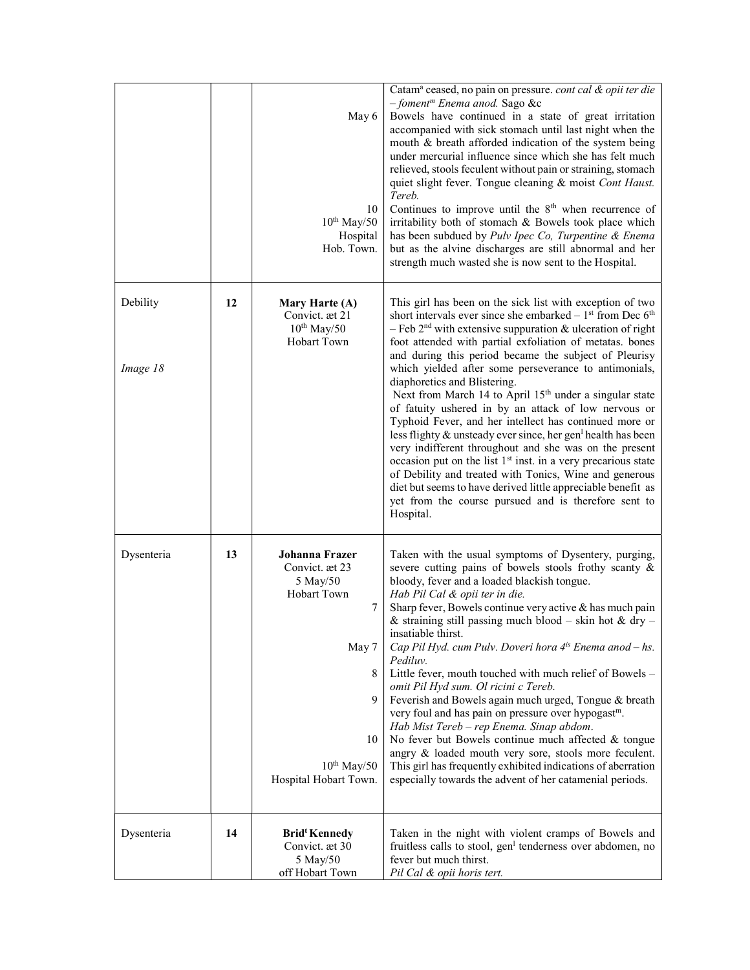|                      |    | May 6<br>10<br>$10^{th}$ May/50<br>Hospital<br>Hob. Town.                                                                              | Catam <sup>a</sup> ceased, no pain on pressure. cont cal & opii ter die<br>- foment <sup>m</sup> Enema anod. Sago &c<br>Bowels have continued in a state of great irritation<br>accompanied with sick stomach until last night when the<br>mouth & breath afforded indication of the system being<br>under mercurial influence since which she has felt much<br>relieved, stools feculent without pain or straining, stomach<br>quiet slight fever. Tongue cleaning & moist Cont Haust.<br>Tereb.<br>Continues to improve until the $8th$ when recurrence of<br>irritability both of stomach & Bowels took place which<br>has been subdued by Pulv Ipec Co, Turpentine & Enema<br>but as the alvine discharges are still abnormal and her<br>strength much wasted she is now sent to the Hospital.                                                                                                                                                                                                                  |
|----------------------|----|----------------------------------------------------------------------------------------------------------------------------------------|---------------------------------------------------------------------------------------------------------------------------------------------------------------------------------------------------------------------------------------------------------------------------------------------------------------------------------------------------------------------------------------------------------------------------------------------------------------------------------------------------------------------------------------------------------------------------------------------------------------------------------------------------------------------------------------------------------------------------------------------------------------------------------------------------------------------------------------------------------------------------------------------------------------------------------------------------------------------------------------------------------------------|
| Debility<br>Image 18 | 12 | Mary Harte (A)<br>Convict. æt 21<br>$10^{th}$ May/50<br>Hobart Town                                                                    | This girl has been on the sick list with exception of two<br>short intervals ever since she embarked $-1st$ from Dec $6th$<br>- Feb $2nd$ with extensive suppuration & ulceration of right<br>foot attended with partial exfoliation of metatas. bones<br>and during this period became the subject of Pleurisy<br>which yielded after some perseverance to antimonials,<br>diaphoretics and Blistering.<br>Next from March 14 to April 15 <sup>th</sup> under a singular state<br>of fatuity ushered in by an attack of low nervous or<br>Typhoid Fever, and her intellect has continued more or<br>less flighty & unsteady ever since, her gen <sup>1</sup> health has been<br>very indifferent throughout and she was on the present<br>occasion put on the list 1 <sup>st</sup> inst. in a very precarious state<br>of Debility and treated with Tonics, Wine and generous<br>diet but seems to have derived little appreciable benefit as<br>yet from the course pursued and is therefore sent to<br>Hospital. |
| Dysenteria           | 13 | Johanna Frazer<br>Convict. æt 23<br>5 May/50<br>Hobart Town<br>7<br>May 7<br>8<br>9<br>10<br>$10^{th}$ May/50<br>Hospital Hobart Town. | Taken with the usual symptoms of Dysentery, purging,<br>severe cutting pains of bowels stools frothy scanty &<br>bloody, fever and a loaded blackish tongue.<br>Hab Pil Cal & opii ter in die.<br>Sharp fever, Bowels continue very active & has much pain<br>& straining still passing much blood – skin hot & dry –<br>insatiable thirst.<br>Cap Pil Hyd. cum Pulv. Doveri hora $4^{is}$ Enema anod $-$ hs.<br>Pediluv.<br>Little fever, mouth touched with much relief of Bowels -<br>omit Pil Hyd sum. Ol ricini c Tereb.<br>Feverish and Bowels again much urged, Tongue & breath<br>very foul and has pain on pressure over hypogast <sup>m</sup> .<br>Hab Mist Tereb - rep Enema. Sinap abdom.<br>No fever but Bowels continue much affected & tongue<br>angry & loaded mouth very sore, stools more feculent.<br>This girl has frequently exhibited indications of aberration<br>especially towards the advent of her catamenial periods.                                                                   |
| Dysenteria           | 14 | <b>Bridt Kennedy</b><br>Convict. æt 30<br>5 May/50<br>off Hobart Town                                                                  | Taken in the night with violent cramps of Bowels and<br>fruitless calls to stool, gen <sup>1</sup> tenderness over abdomen, no<br>fever but much thirst.<br>Pil Cal & opii horis tert.                                                                                                                                                                                                                                                                                                                                                                                                                                                                                                                                                                                                                                                                                                                                                                                                                              |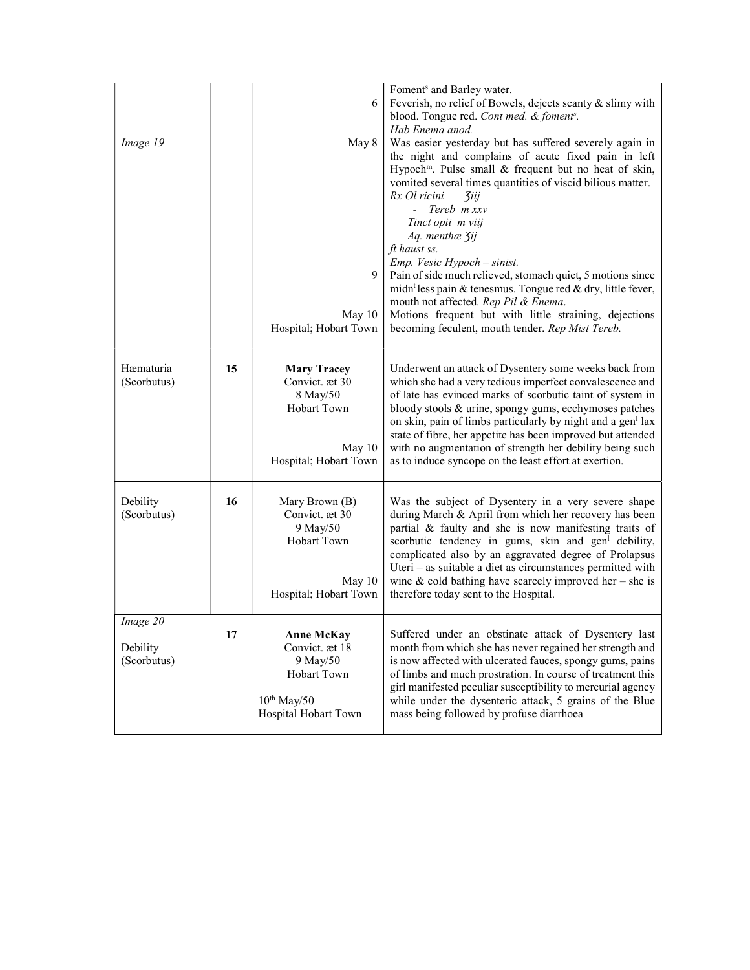|             |    |                                      | Foment <sup>s</sup> and Barley water.                                                                             |
|-------------|----|--------------------------------------|-------------------------------------------------------------------------------------------------------------------|
|             |    | 6                                    | Feverish, no relief of Bowels, dejects scanty & slimy with                                                        |
|             |    |                                      | blood. Tongue red. Cont med. & foment <sup>s</sup> .                                                              |
|             |    |                                      | Hab Enema anod.                                                                                                   |
| Image 19    |    | May 8                                | Was easier yesterday but has suffered severely again in                                                           |
|             |    |                                      | the night and complains of acute fixed pain in left                                                               |
|             |    |                                      | Hypoch <sup>m</sup> . Pulse small & frequent but no heat of skin,                                                 |
|             |    |                                      | vomited several times quantities of viscid bilious matter.                                                        |
|             |    |                                      | Rx Ol ricini<br><b><i><u>Ziij</u></i></b>                                                                         |
|             |    |                                      | $-$ Tereb $m$ xxy                                                                                                 |
|             |    |                                      | Tinct opii m viij                                                                                                 |
|             |    |                                      | Aq. menthæ 3ij                                                                                                    |
|             |    |                                      | ft haust ss.                                                                                                      |
|             |    |                                      | Emp. Vesic Hypoch - sinist.                                                                                       |
|             |    | 9                                    | Pain of side much relieved, stomach quiet, 5 motions since                                                        |
|             |    |                                      | midn <sup>t</sup> less pain & tenesmus. Tongue red & dry, little fever,                                           |
|             |    |                                      | mouth not affected. Rep Pil & Enema.                                                                              |
|             |    | May 10                               | Motions frequent but with little straining, dejections                                                            |
|             |    | Hospital; Hobart Town                | becoming feculent, mouth tender. Rep Mist Tereb.                                                                  |
|             |    |                                      |                                                                                                                   |
| Hæmaturia   |    |                                      |                                                                                                                   |
| (Scorbutus) | 15 | <b>Mary Tracey</b><br>Convict. æt 30 | Underwent an attack of Dysentery some weeks back from<br>which she had a very tedious imperfect convalescence and |
|             |    | 8 May/50                             | of late has evinced marks of scorbutic taint of system in                                                         |
|             |    | Hobart Town                          | bloody stools & urine, spongy gums, ecchymoses patches                                                            |
|             |    |                                      | on skin, pain of limbs particularly by night and a gen <sup>1</sup> lax                                           |
|             |    |                                      | state of fibre, her appetite has been improved but attended                                                       |
|             |    | May 10                               | with no augmentation of strength her debility being such                                                          |
|             |    | Hospital; Hobart Town                | as to induce syncope on the least effort at exertion.                                                             |
|             |    |                                      |                                                                                                                   |
| Debility    | 16 |                                      | Was the subject of Dysentery in a very severe shape                                                               |
| (Scorbutus) |    | Mary Brown (B)<br>Convict. æt 30     | during March & April from which her recovery has been                                                             |
|             |    | 9 May/50                             | partial & faulty and she is now manifesting traits of                                                             |
|             |    | Hobart Town                          | scorbutic tendency in gums, skin and gen <sup>1</sup> debility,                                                   |
|             |    |                                      | complicated also by an aggravated degree of Prolapsus                                                             |
|             |    |                                      | Uteri – as suitable a diet as circumstances permitted with                                                        |
|             |    | May 10                               | wine & cold bathing have scarcely improved her – she is                                                           |
|             |    | Hospital; Hobart Town                | therefore today sent to the Hospital.                                                                             |
|             |    |                                      |                                                                                                                   |
| Image 20    |    |                                      |                                                                                                                   |
|             | 17 | <b>Anne McKay</b>                    | Suffered under an obstinate attack of Dysentery last                                                              |
| Debility    |    | Convict. æt 18                       | month from which she has never regained her strength and                                                          |
| (Scorbutus) |    | 9 May/50                             | is now affected with ulcerated fauces, spongy gums, pains                                                         |
|             |    | Hobart Town                          | of limbs and much prostration. In course of treatment this                                                        |
|             |    | $10^{th}$ May/50                     | girl manifested peculiar susceptibility to mercurial agency                                                       |
|             |    | Hospital Hobart Town                 | while under the dysenteric attack, 5 grains of the Blue<br>mass being followed by profuse diarrhoea               |
|             |    |                                      |                                                                                                                   |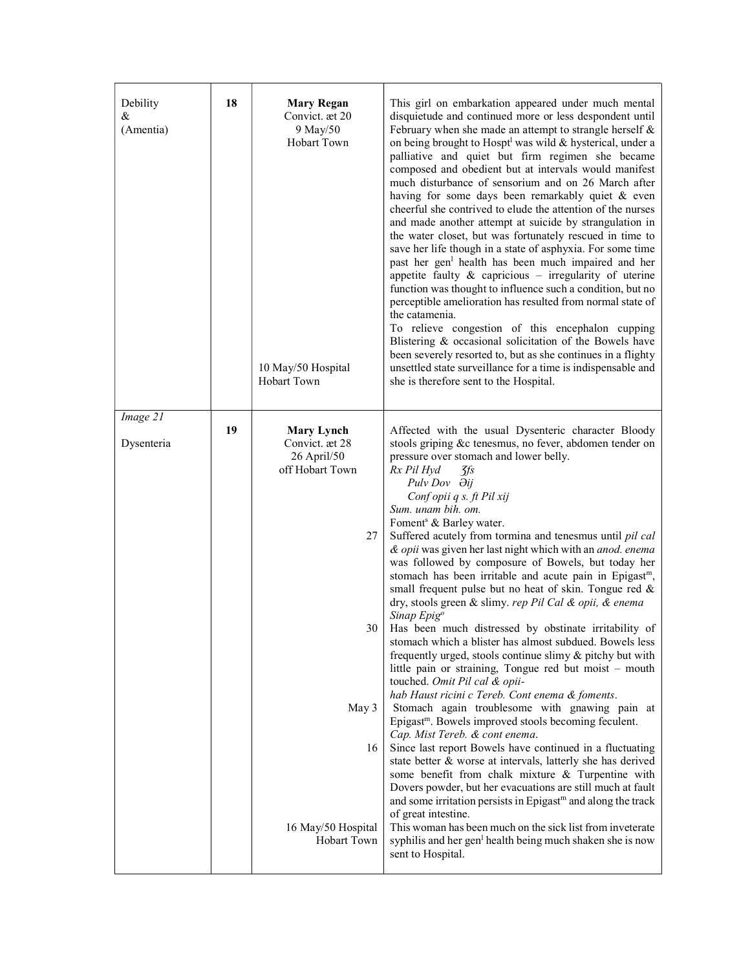| Debility<br>&<br>(Amentia) | 18 | <b>Mary Regan</b><br>Convict. æt 20<br>9 May/50<br>Hobart Town<br>10 May/50 Hospital<br><b>Hobart Town</b> | This girl on embarkation appeared under much mental<br>disquietude and continued more or less despondent until<br>February when she made an attempt to strangle herself $\&$<br>on being brought to Hospt <sup>l</sup> was wild & hysterical, under a<br>palliative and quiet but firm regimen she became<br>composed and obedient but at intervals would manifest<br>much disturbance of sensorium and on 26 March after<br>having for some days been remarkably quiet & even<br>cheerful she contrived to elude the attention of the nurses<br>and made another attempt at suicide by strangulation in<br>the water closet, but was fortunately rescued in time to<br>save her life though in a state of asphyxia. For some time<br>past her gen <sup>1</sup> health has been much impaired and her<br>appetite faulty $\&$ capricious – irregularity of uterine<br>function was thought to influence such a condition, but no<br>perceptible amelioration has resulted from normal state of<br>the catamenia.<br>To relieve congestion of this encephalon cupping<br>Blistering & occasional solicitation of the Bowels have<br>been severely resorted to, but as she continues in a flighty<br>unsettled state surveillance for a time is indispensable and<br>she is therefore sent to the Hospital. |
|----------------------------|----|------------------------------------------------------------------------------------------------------------|-----------------------------------------------------------------------------------------------------------------------------------------------------------------------------------------------------------------------------------------------------------------------------------------------------------------------------------------------------------------------------------------------------------------------------------------------------------------------------------------------------------------------------------------------------------------------------------------------------------------------------------------------------------------------------------------------------------------------------------------------------------------------------------------------------------------------------------------------------------------------------------------------------------------------------------------------------------------------------------------------------------------------------------------------------------------------------------------------------------------------------------------------------------------------------------------------------------------------------------------------------------------------------------------------------------|
| Image 21                   | 19 | <b>Mary Lynch</b>                                                                                          | Affected with the usual Dysenteric character Bloody                                                                                                                                                                                                                                                                                                                                                                                                                                                                                                                                                                                                                                                                                                                                                                                                                                                                                                                                                                                                                                                                                                                                                                                                                                                       |
| Dysenteria                 |    | Convict. æt 28<br>26 April/50                                                                              | stools griping &c tenesmus, no fever, abdomen tender on<br>pressure over stomach and lower belly.                                                                                                                                                                                                                                                                                                                                                                                                                                                                                                                                                                                                                                                                                                                                                                                                                                                                                                                                                                                                                                                                                                                                                                                                         |
|                            |    | off Hobart Town                                                                                            | Rx Pil Hyd<br>$5$ fs<br>Pulv Dov Əij<br>Conf opii q s. ft Pil xij<br>Sum. unam bih. om.                                                                                                                                                                                                                                                                                                                                                                                                                                                                                                                                                                                                                                                                                                                                                                                                                                                                                                                                                                                                                                                                                                                                                                                                                   |
|                            |    | 27                                                                                                         | Foment <sup>s</sup> & Barley water.<br>Suffered acutely from tormina and tenesmus until pil cal<br>& opii was given her last night which with an anod. enema<br>was followed by composure of Bowels, but today her<br>stomach has been irritable and acute pain in Epigast <sup>m</sup> ,<br>small frequent pulse but no heat of skin. Tongue red &<br>dry, stools green & slimy. rep Pil Cal & opii, & enema<br>Sinap $Epig^o$                                                                                                                                                                                                                                                                                                                                                                                                                                                                                                                                                                                                                                                                                                                                                                                                                                                                           |
|                            |    | 30 <sup>1</sup>                                                                                            | Has been much distressed by obstinate irritability of<br>stomach which a blister has almost subdued. Bowels less<br>frequently urged, stools continue slimy & pitchy but with<br>little pain or straining, Tongue red but moist - mouth<br>touched. Omit Pil cal & opii-                                                                                                                                                                                                                                                                                                                                                                                                                                                                                                                                                                                                                                                                                                                                                                                                                                                                                                                                                                                                                                  |
|                            |    | May 3                                                                                                      | hab Haust ricini c Tereb. Cont enema & foments.<br>Stomach again troublesome with gnawing pain at<br>Epigast <sup>m</sup> . Bowels improved stools becoming feculent.<br>Cap. Mist Tereb. & cont enema.                                                                                                                                                                                                                                                                                                                                                                                                                                                                                                                                                                                                                                                                                                                                                                                                                                                                                                                                                                                                                                                                                                   |
|                            |    | 16                                                                                                         | Since last report Bowels have continued in a fluctuating<br>state better & worse at intervals, latterly she has derived<br>some benefit from chalk mixture & Turpentine with<br>Dovers powder, but her evacuations are still much at fault<br>and some irritation persists in Epigast <sup>m</sup> and along the track<br>of great intestine.                                                                                                                                                                                                                                                                                                                                                                                                                                                                                                                                                                                                                                                                                                                                                                                                                                                                                                                                                             |
|                            |    | 16 May/50 Hospital<br>Hobart Town                                                                          | This woman has been much on the sick list from inveterate<br>syphilis and her gen <sup>1</sup> health being much shaken she is now<br>sent to Hospital.                                                                                                                                                                                                                                                                                                                                                                                                                                                                                                                                                                                                                                                                                                                                                                                                                                                                                                                                                                                                                                                                                                                                                   |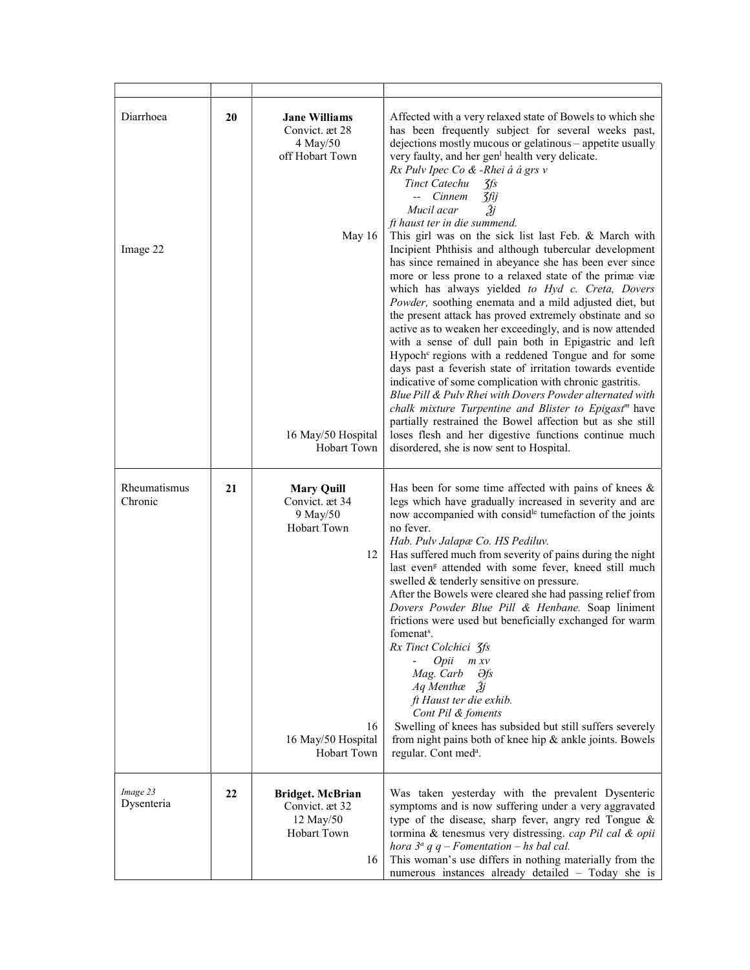| Diarrhoea<br>Image 22   | 20 | <b>Jane Williams</b><br>Convict. æt 28<br>4 May/50<br>off Hobart Town<br>May 16                                        | Affected with a very relaxed state of Bowels to which she<br>has been frequently subject for several weeks past,<br>dejections mostly mucous or gelatinous - appetite usually<br>very faulty, and her gen <sup>1</sup> health very delicate.<br>Rx Pulv Ipec Co & -Rhei á á grs v<br>Tinct Catechu<br>$\mathcal{J}\mathit{fs}$<br>-- Cinnem<br><b>3fij</b><br>Žj<br>Mucil acar<br>ft haust ter in die summend.<br>This girl was on the sick list last Feb. & March with<br>Incipient Phthisis and although tubercular development<br>has since remained in abeyance she has been ever since<br>more or less prone to a relaxed state of the primæ viæ                                                                                                                                                                                                                                                                                     |
|-------------------------|----|------------------------------------------------------------------------------------------------------------------------|-------------------------------------------------------------------------------------------------------------------------------------------------------------------------------------------------------------------------------------------------------------------------------------------------------------------------------------------------------------------------------------------------------------------------------------------------------------------------------------------------------------------------------------------------------------------------------------------------------------------------------------------------------------------------------------------------------------------------------------------------------------------------------------------------------------------------------------------------------------------------------------------------------------------------------------------|
|                         |    | 16 May/50 Hospital<br><b>Hobart Town</b>                                                                               | which has always yielded to Hyd c. Creta, Dovers<br>Powder, soothing enemata and a mild adjusted diet, but<br>the present attack has proved extremely obstinate and so<br>active as to weaken her exceedingly, and is now attended<br>with a sense of dull pain both in Epigastric and left<br>Hypoch <sup>c</sup> regions with a reddened Tongue and for some<br>days past a feverish state of irritation towards eventide<br>indicative of some complication with chronic gastritis.<br>Blue Pill & Pulv Rhei with Dovers Powder alternated with<br>chalk mixture Turpentine and Blister to Epigast <sup>m</sup> have<br>partially restrained the Bowel affection but as she still<br>loses flesh and her digestive functions continue much<br>disordered, she is now sent to Hospital.                                                                                                                                                 |
| Rheumatismus<br>Chronic | 21 | <b>Mary Quill</b><br>Convict. æt 34<br>9 May/50<br>Hobart Town<br>12<br>16<br>16 May/50 Hospital<br><b>Hobart Town</b> | Has been for some time affected with pains of knees $\&$<br>legs which have gradually increased in severity and are<br>now accompanied with consid <sup>le</sup> tumefaction of the joints<br>no fever.<br>Hab. Pulv Jalapæ Co. HS Pediluv.<br>Has suffered much from severity of pains during the night<br>last even <sup>g</sup> attended with some fever, kneed still much<br>swelled & tenderly sensitive on pressure.<br>After the Bowels were cleared she had passing relief from<br>Dovers Powder Blue Pill & Henbane. Soap liniment<br>frictions were used but beneficially exchanged for warm<br>fomenat <sup>s</sup> .<br>Rx Tinct Colchici 3fs<br>Opii<br>m x v<br>Mag. Carb<br>Əfs<br>$Aq$ Menthae $\tilde{A}j$<br>ft Haust ter die exhib.<br>Cont Pil & foments<br>Swelling of knees has subsided but still suffers severely<br>from night pains both of knee hip & ankle joints. Bowels<br>regular. Cont med <sup>a</sup> . |
| Image 23<br>Dysenteria  | 22 | <b>Bridget. McBrian</b><br>Convict. æt 32<br>12 May/50<br>Hobart Town<br>16                                            | Was taken yesterday with the prevalent Dysenteric<br>symptoms and is now suffering under a very aggravated<br>type of the disease, sharp fever, angry red Tongue &<br>tormina & tenesmus very distressing. cap Pil cal & opii<br>hora $3^a$ q q – Fomentation – hs bal cal.<br>This woman's use differs in nothing materially from the<br>numerous instances already detailed - Today she is                                                                                                                                                                                                                                                                                                                                                                                                                                                                                                                                              |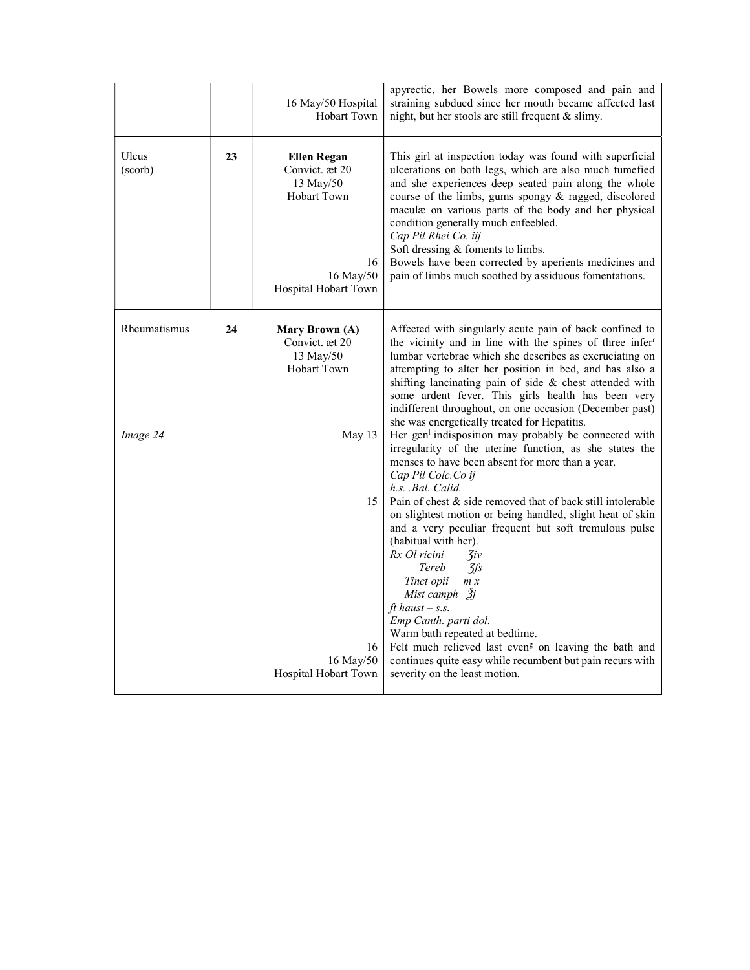|                          |    | 16 May/50 Hospital<br><b>Hobart Town</b>                                                                           | apyrectic, her Bowels more composed and pain and<br>straining subdued since her mouth became affected last<br>night, but her stools are still frequent & slimy.                                                                                                                                                                                                                                                                                                                                                                                                                                                                                                                                                                                                                 |
|--------------------------|----|--------------------------------------------------------------------------------------------------------------------|---------------------------------------------------------------------------------------------------------------------------------------------------------------------------------------------------------------------------------------------------------------------------------------------------------------------------------------------------------------------------------------------------------------------------------------------------------------------------------------------------------------------------------------------------------------------------------------------------------------------------------------------------------------------------------------------------------------------------------------------------------------------------------|
| Ulcus<br>(scorb)         | 23 | <b>Ellen Regan</b><br>Convict. æt 20<br>13 May/50<br><b>Hobart Town</b><br>16<br>16 May/50<br>Hospital Hobart Town | This girl at inspection today was found with superficial<br>ulcerations on both legs, which are also much tumefied<br>and she experiences deep seated pain along the whole<br>course of the limbs, gums spongy & ragged, discolored<br>maculæ on various parts of the body and her physical<br>condition generally much enfeebled.<br>Cap Pil Rhei Co. iij<br>Soft dressing & foments to limbs.<br>Bowels have been corrected by aperients medicines and<br>pain of limbs much soothed by assiduous fomentations.                                                                                                                                                                                                                                                               |
| Rheumatismus<br>Image 24 | 24 | Mary Brown (A)<br>Convict. æt 20<br>13 May/50<br>Hobart Town<br>May 13<br>15                                       | Affected with singularly acute pain of back confined to<br>the vicinity and in line with the spines of three infer <sup>r</sup><br>lumbar vertebrae which she describes as excruciating on<br>attempting to alter her position in bed, and has also a<br>shifting lancinating pain of side & chest attended with<br>some ardent fever. This girls health has been very<br>indifferent throughout, on one occasion (December past)<br>she was energetically treated for Hepatitis.<br>Her gen <sup>1</sup> indisposition may probably be connected with<br>irregularity of the uterine function, as she states the<br>menses to have been absent for more than a year.<br>Cap Pil Colc. Co ij<br>h.s. Bal. Calid.<br>Pain of chest & side removed that of back still intolerable |
|                          |    | 16<br>16 May/50<br>Hospital Hobart Town                                                                            | on slightest motion or being handled, slight heat of skin<br>and a very peculiar frequent but soft tremulous pulse<br>(habitual with her).<br>Rx Ol ricini<br>$\mathcal{Z}$ iv<br>$\frac{7}{5}$<br>Tereb<br>Tinct opii<br>m x<br>Mist camph $\tilde{3}$ j<br>ft haust $-$ s.s.<br>Emp Canth. parti dol.<br>Warm bath repeated at bedtime.<br>Felt much relieved last even <sup>g</sup> on leaving the bath and<br>continues quite easy while recumbent but pain recurs with<br>severity on the least motion.                                                                                                                                                                                                                                                                    |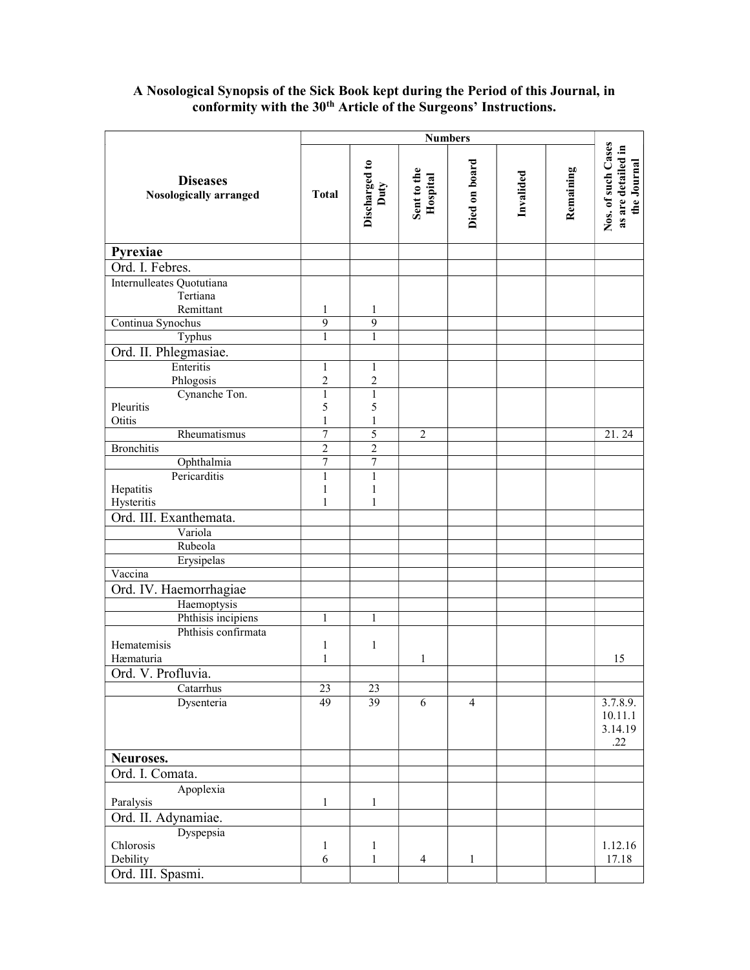## A Nosological Synopsis of the Sick Book kept during the Period of this Journal, in conformity with the 30<sup>th</sup> Article of the Surgeons' Instructions.

|                                                  | <b>Numbers</b>    |                       |                         |                |           |           |                                                         |
|--------------------------------------------------|-------------------|-----------------------|-------------------------|----------------|-----------|-----------|---------------------------------------------------------|
| <b>Diseases</b><br><b>Nosologically arranged</b> | <b>Total</b>      | Discharged to<br>Duty | Sent to the<br>Hospital | Died on board  | Invalided | Remaining | Nos. of such Cases<br>as are detailed in<br>the Journal |
| Pyrexiae                                         |                   |                       |                         |                |           |           |                                                         |
| Ord. I. Febres.                                  |                   |                       |                         |                |           |           |                                                         |
| Internulleates Quotutiana                        |                   |                       |                         |                |           |           |                                                         |
| Tertiana                                         |                   |                       |                         |                |           |           |                                                         |
| Remittant                                        | 1                 | 1                     |                         |                |           |           |                                                         |
| Continua Synochus                                | 9                 | 9                     |                         |                |           |           |                                                         |
| Typhus                                           | 1                 | 1                     |                         |                |           |           |                                                         |
| Ord. II. Phlegmasiae.                            |                   |                       |                         |                |           |           |                                                         |
| Enteritis                                        | $\mathbf{1}$      | $\mathbf{1}$          |                         |                |           |           |                                                         |
| Phlogosis                                        | $\overline{c}$    | 2                     |                         |                |           |           |                                                         |
| Cynanche Ton.<br>Pleuritis                       | $\mathbf{1}$<br>5 | $\mathbf{1}$<br>5     |                         |                |           |           |                                                         |
| Otitis                                           | 1                 | 1                     |                         |                |           |           |                                                         |
| Rheumatismus                                     | $\overline{7}$    | 5                     | $\overline{2}$          |                |           |           | 21.24                                                   |
| <b>Bronchitis</b>                                | $\overline{c}$    | $\overline{c}$        |                         |                |           |           |                                                         |
| Ophthalmia                                       | 7                 | $\overline{7}$        |                         |                |           |           |                                                         |
| Pericarditis                                     | $\mathbf{1}$      | $\mathbf{1}$          |                         |                |           |           |                                                         |
| Hepatitis                                        | $\mathbf{1}$      | $\mathbf{1}$          |                         |                |           |           |                                                         |
| Hysteritis                                       | 1                 | 1                     |                         |                |           |           |                                                         |
| Ord. III. Exanthemata.                           |                   |                       |                         |                |           |           |                                                         |
| Variola                                          |                   |                       |                         |                |           |           |                                                         |
| Rubeola                                          |                   |                       |                         |                |           |           |                                                         |
| Erysipelas                                       |                   |                       |                         |                |           |           |                                                         |
| Vaccina                                          |                   |                       |                         |                |           |           |                                                         |
| Ord. IV. Haemorrhagiae                           |                   |                       |                         |                |           |           |                                                         |
| Haemoptysis                                      |                   |                       |                         |                |           |           |                                                         |
| Phthisis incipiens<br>Phthisis confirmata        | $\mathbf{1}$      | $\mathbf{1}$          |                         |                |           |           |                                                         |
| Hematemisis                                      | 1                 | $\mathbf{1}$          |                         |                |           |           |                                                         |
| Hæmaturia                                        | 1                 |                       | 1                       |                |           |           | 15                                                      |
| Ord. V. Profluvia.                               |                   |                       |                         |                |           |           |                                                         |
| Catarrhus                                        | $23\,$            | 23                    |                         |                |           |           |                                                         |
| Dysenteria                                       | 49                | 39                    | 6                       | $\overline{4}$ |           |           | 3.7.8.9.<br>10.11.1<br>3.14.19<br>.22                   |
| Neuroses.                                        |                   |                       |                         |                |           |           |                                                         |
| Ord. I. Comata.                                  |                   |                       |                         |                |           |           |                                                         |
| Apoplexia                                        |                   |                       |                         |                |           |           |                                                         |
| Paralysis                                        | $\mathbf{1}$      | $\mathbf{1}$          |                         |                |           |           |                                                         |
| Ord. II. Adynamiae.                              |                   |                       |                         |                |           |           |                                                         |
| Dyspepsia                                        |                   |                       |                         |                |           |           |                                                         |
| Chlorosis                                        | 1                 | $\mathbf{1}$          |                         |                |           |           | 1.12.16                                                 |
| Debility                                         | 6                 | $\mathbf{1}$          | $\overline{4}$          | $\mathbf{1}$   |           |           | 17.18                                                   |
| Ord. III. Spasmi.                                |                   |                       |                         |                |           |           |                                                         |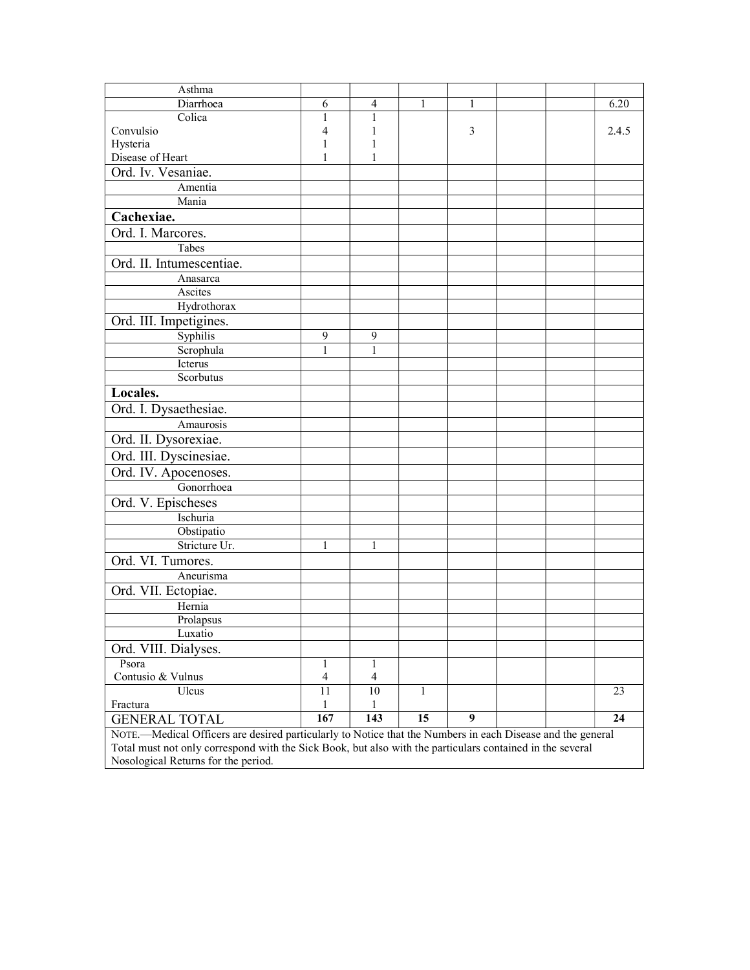| Asthma                                                                                                     |                               |              |              |   |  |  |       |
|------------------------------------------------------------------------------------------------------------|-------------------------------|--------------|--------------|---|--|--|-------|
| Diarrhoea                                                                                                  | 6                             | 4            | 1            |   |  |  | 6.20  |
| Colica                                                                                                     | 1                             | 1            |              |   |  |  |       |
| Convulsio                                                                                                  | 4                             | 1            |              | 3 |  |  | 2.4.5 |
| Hysteria                                                                                                   | 1                             | 1            |              |   |  |  |       |
| Disease of Heart                                                                                           | 1                             | $\mathbf{1}$ |              |   |  |  |       |
| Ord. Iv. Vesaniae.                                                                                         |                               |              |              |   |  |  |       |
| Amentia                                                                                                    |                               |              |              |   |  |  |       |
| Mania                                                                                                      |                               |              |              |   |  |  |       |
| Cachexiae.                                                                                                 |                               |              |              |   |  |  |       |
| Ord. I. Marcores.                                                                                          |                               |              |              |   |  |  |       |
| Tabes                                                                                                      |                               |              |              |   |  |  |       |
| Ord. II. Intumescentiae.                                                                                   |                               |              |              |   |  |  |       |
| Anasarca                                                                                                   |                               |              |              |   |  |  |       |
| Ascites                                                                                                    |                               |              |              |   |  |  |       |
| Hydrothorax                                                                                                |                               |              |              |   |  |  |       |
| Ord. III. Impetigines.                                                                                     |                               |              |              |   |  |  |       |
| Syphilis                                                                                                   | 9                             | 9            |              |   |  |  |       |
| Scrophula                                                                                                  | $\mathbf{1}$                  | 1            |              |   |  |  |       |
| Icterus                                                                                                    |                               |              |              |   |  |  |       |
| Scorbutus                                                                                                  |                               |              |              |   |  |  |       |
| Locales.                                                                                                   |                               |              |              |   |  |  |       |
| Ord. I. Dysaethesiae.                                                                                      |                               |              |              |   |  |  |       |
| Amaurosis                                                                                                  |                               |              |              |   |  |  |       |
| Ord. II. Dysorexiae.                                                                                       |                               |              |              |   |  |  |       |
| Ord. III. Dyscinesiae.                                                                                     |                               |              |              |   |  |  |       |
| Ord. IV. Apocenoses.                                                                                       |                               |              |              |   |  |  |       |
| Gonorrhoea                                                                                                 |                               |              |              |   |  |  |       |
| Ord. V. Epischeses                                                                                         |                               |              |              |   |  |  |       |
| Ischuria                                                                                                   |                               |              |              |   |  |  |       |
| Obstipatio                                                                                                 |                               |              |              |   |  |  |       |
| Stricture Ur.                                                                                              | 1                             | 1            |              |   |  |  |       |
| Ord. VI. Tumores.                                                                                          |                               |              |              |   |  |  |       |
| Aneurisma                                                                                                  |                               |              |              |   |  |  |       |
| Ord. VII. Ectopiae.                                                                                        |                               |              |              |   |  |  |       |
| Hernia                                                                                                     |                               |              |              |   |  |  |       |
| Prolapsus                                                                                                  |                               |              |              |   |  |  |       |
| Luxatio                                                                                                    |                               |              |              |   |  |  |       |
| Ord. VIII. Dialyses.                                                                                       |                               |              |              |   |  |  |       |
| Psora                                                                                                      |                               |              |              |   |  |  |       |
| Contusio & Vulnus                                                                                          | 1<br>$\overline{\mathcal{A}}$ | 1<br>4       |              |   |  |  |       |
| Ulcus                                                                                                      | 11                            | 10           | $\mathbf{1}$ |   |  |  | 23    |
| Fractura                                                                                                   | 1                             | 1            |              |   |  |  |       |
| <b>GENERAL TOTAL</b>                                                                                       | 167                           | 143          | 15           | 9 |  |  | 24    |
| NOTE.-Medical Officers are desired particularly to Notice that the Numbers in each Disease and the general |                               |              |              |   |  |  |       |
| Total must not only correspond with the Sick Book, but also with the particulars contained in the several  |                               |              |              |   |  |  |       |
| Nosological Returns for the period.                                                                        |                               |              |              |   |  |  |       |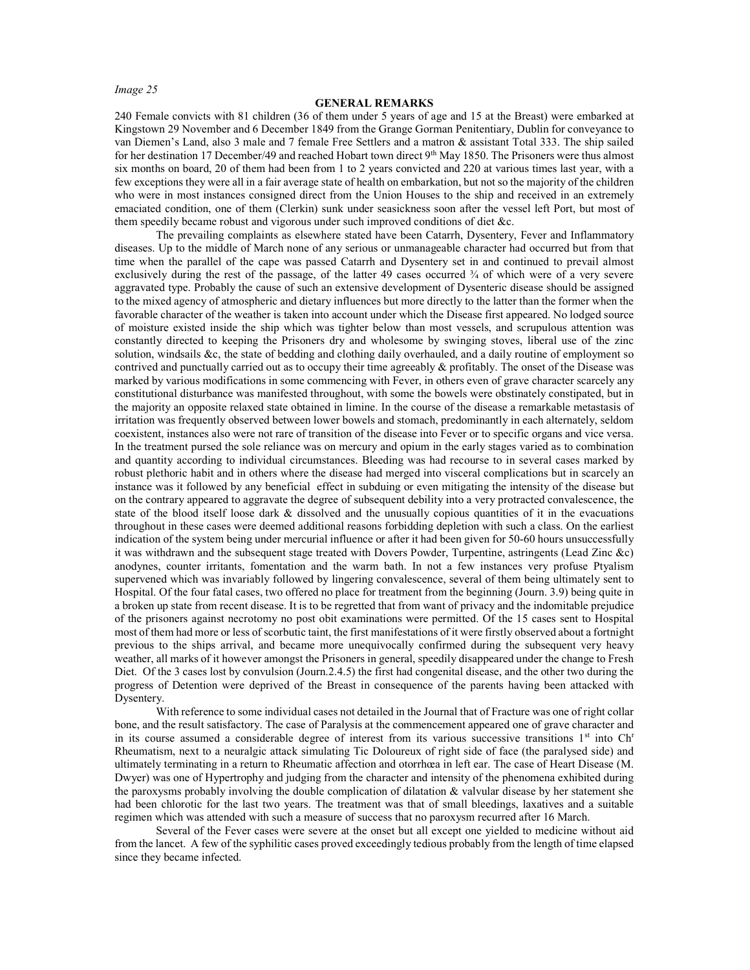#### GENERAL REMARKS

240 Female convicts with 81 children (36 of them under 5 years of age and 15 at the Breast) were embarked at Kingstown 29 November and 6 December 1849 from the Grange Gorman Penitentiary, Dublin for conveyance to van Diemen's Land, also 3 male and 7 female Free Settlers and a matron & assistant Total 333. The ship sailed for her destination 17 December/49 and reached Hobart town direct 9<sup>th</sup> May 1850. The Prisoners were thus almost six months on board, 20 of them had been from 1 to 2 years convicted and 220 at various times last year, with a few exceptions they were all in a fair average state of health on embarkation, but not so the majority of the children who were in most instances consigned direct from the Union Houses to the ship and received in an extremely emaciated condition, one of them (Clerkin) sunk under seasickness soon after the vessel left Port, but most of them speedily became robust and vigorous under such improved conditions of diet &c.

 The prevailing complaints as elsewhere stated have been Catarrh, Dysentery, Fever and Inflammatory diseases. Up to the middle of March none of any serious or unmanageable character had occurred but from that time when the parallel of the cape was passed Catarrh and Dysentery set in and continued to prevail almost exclusively during the rest of the passage, of the latter 49 cases occurred  $\frac{3}{4}$  of which were of a very severe aggravated type. Probably the cause of such an extensive development of Dysenteric disease should be assigned to the mixed agency of atmospheric and dietary influences but more directly to the latter than the former when the favorable character of the weather is taken into account under which the Disease first appeared. No lodged source of moisture existed inside the ship which was tighter below than most vessels, and scrupulous attention was constantly directed to keeping the Prisoners dry and wholesome by swinging stoves, liberal use of the zinc solution, windsails &c, the state of bedding and clothing daily overhauled, and a daily routine of employment so contrived and punctually carried out as to occupy their time agreeably  $\&$  profitably. The onset of the Disease was marked by various modifications in some commencing with Fever, in others even of grave character scarcely any constitutional disturbance was manifested throughout, with some the bowels were obstinately constipated, but in the majority an opposite relaxed state obtained in limine. In the course of the disease a remarkable metastasis of irritation was frequently observed between lower bowels and stomach, predominantly in each alternately, seldom coexistent, instances also were not rare of transition of the disease into Fever or to specific organs and vice versa. In the treatment pursed the sole reliance was on mercury and opium in the early stages varied as to combination and quantity according to individual circumstances. Bleeding was had recourse to in several cases marked by robust plethoric habit and in others where the disease had merged into visceral complications but in scarcely an instance was it followed by any beneficial effect in subduing or even mitigating the intensity of the disease but on the contrary appeared to aggravate the degree of subsequent debility into a very protracted convalescence, the state of the blood itself loose dark & dissolved and the unusually copious quantities of it in the evacuations throughout in these cases were deemed additional reasons forbidding depletion with such a class. On the earliest indication of the system being under mercurial influence or after it had been given for 50-60 hours unsuccessfully it was withdrawn and the subsequent stage treated with Dovers Powder, Turpentine, astringents (Lead Zinc &c) anodynes, counter irritants, fomentation and the warm bath. In not a few instances very profuse Ptyalism supervened which was invariably followed by lingering convalescence, several of them being ultimately sent to Hospital. Of the four fatal cases, two offered no place for treatment from the beginning (Journ. 3.9) being quite in a broken up state from recent disease. It is to be regretted that from want of privacy and the indomitable prejudice of the prisoners against necrotomy no post obit examinations were permitted. Of the 15 cases sent to Hospital most of them had more or less of scorbutic taint, the first manifestations of it were firstly observed about a fortnight previous to the ships arrival, and became more unequivocally confirmed during the subsequent very heavy weather, all marks of it however amongst the Prisoners in general, speedily disappeared under the change to Fresh Diet. Of the 3 cases lost by convulsion (Journ.2.4.5) the first had congenital disease, and the other two during the progress of Detention were deprived of the Breast in consequence of the parents having been attacked with Dysentery.

 With reference to some individual cases not detailed in the Journal that of Fracture was one of right collar bone, and the result satisfactory. The case of Paralysis at the commencement appeared one of grave character and in its course assumed a considerable degree of interest from its various successive transitions  $1<sup>st</sup>$  into Ch<sup>r</sup> Rheumatism, next to a neuralgic attack simulating Tic Doloureux of right side of face (the paralysed side) and ultimately terminating in a return to Rheumatic affection and otorrhœa in left ear. The case of Heart Disease (M. Dwyer) was one of Hypertrophy and judging from the character and intensity of the phenomena exhibited during the paroxysms probably involving the double complication of dilatation & valvular disease by her statement she had been chlorotic for the last two years. The treatment was that of small bleedings, laxatives and a suitable regimen which was attended with such a measure of success that no paroxysm recurred after 16 March.

Several of the Fever cases were severe at the onset but all except one yielded to medicine without aid from the lancet. A few of the syphilitic cases proved exceedingly tedious probably from the length of time elapsed since they became infected.